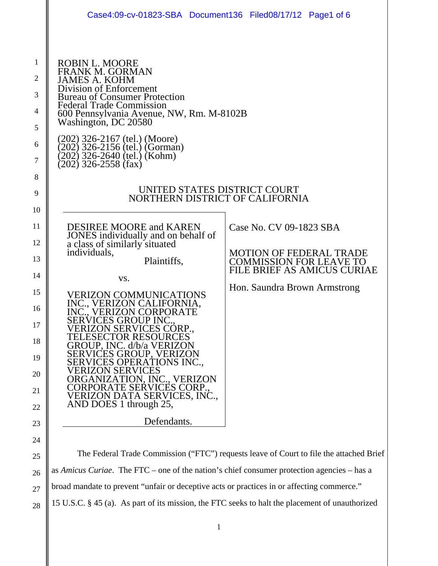|                                                                                                                  | Case4:09-cv-01823-SBA Document136 Filed08/17/12 Page1 of 6                                                                                                                                                                                                                                                                                                                                                                                                                                                                                                                                                                                                                                                                                                                                                                     |                                                                                                                                                                   |
|------------------------------------------------------------------------------------------------------------------|--------------------------------------------------------------------------------------------------------------------------------------------------------------------------------------------------------------------------------------------------------------------------------------------------------------------------------------------------------------------------------------------------------------------------------------------------------------------------------------------------------------------------------------------------------------------------------------------------------------------------------------------------------------------------------------------------------------------------------------------------------------------------------------------------------------------------------|-------------------------------------------------------------------------------------------------------------------------------------------------------------------|
| $\mathbf{1}$<br>2<br>3<br>4<br>5<br>6<br>7<br>8<br>9<br>10<br>11<br>12<br>13<br>14<br>15<br>16<br>17<br>18<br>19 | <b>ROBIN L. MOORE</b><br><b>FRANK M. GORMAN</b><br><b>JAMES A. KOHM</b><br>Division of Enforcement<br><b>Bureau of Consumer Protection</b><br><b>Federal Trade Commission</b><br>600 Pennsylvania Avenue, NW, Rm. M-8102B<br>Washington, DC 20580<br>(202) 326-2167 (tel.) (Moore)<br>(202) 326-2156 (tel.) (Gorman)<br>(202) 326-2640 (tel.) (Kohm)<br>$(202)$ 326-2558 (fax)<br>UNITED STATES DISTRICT COURT<br>NORTHERN DISTRICT OF CALIFORNIA<br><b>DESIREE MOORE and KAREN</b><br>JONES individually and on behalf of<br>a class of similarly situated<br>individuals,<br>Plaintiffs,<br>VS.<br><b>VERIZON COMMUNICATIONS</b><br>INC., VERIZON CALIFORNIA,<br><b>SERVICES GROUP INC</b><br>ZON SERVICES CORP<br>CTOR RESOURCES<br>.ESEC<br>GROUP, INC. d/b/a VERIZON<br>SERVICES GROUP, VERIZON<br>ERVICES OPERATIONS INC | Case No. CV 09-1823 SBA<br><b>MOTION OF FEDERAL TRADE</b><br><b>COMMISSION FOR LEAVE TO</b><br><b>FILE BRIEF AS AMICUS CURIAE</b><br>Hon. Saundra Brown Armstrong |
| 20<br>21<br>22                                                                                                   | ERIZON SERVI<br>CES<br>ON, INC., VERIZON<br>E SERVICES CORP.<br>CORPORAT<br>VERIZON DATA SERVICES, INC.,<br>AND DOES 1 through 25,                                                                                                                                                                                                                                                                                                                                                                                                                                                                                                                                                                                                                                                                                             |                                                                                                                                                                   |
| 23                                                                                                               | Defendants.                                                                                                                                                                                                                                                                                                                                                                                                                                                                                                                                                                                                                                                                                                                                                                                                                    |                                                                                                                                                                   |
| 24                                                                                                               |                                                                                                                                                                                                                                                                                                                                                                                                                                                                                                                                                                                                                                                                                                                                                                                                                                |                                                                                                                                                                   |
| 25                                                                                                               | The Federal Trade Commission ("FTC") requests leave of Court to file the attached Brief                                                                                                                                                                                                                                                                                                                                                                                                                                                                                                                                                                                                                                                                                                                                        |                                                                                                                                                                   |
| 26                                                                                                               | as Amicus Curiae. The FTC – one of the nation's chief consumer protection agencies – has a                                                                                                                                                                                                                                                                                                                                                                                                                                                                                                                                                                                                                                                                                                                                     |                                                                                                                                                                   |
| 27                                                                                                               | broad mandate to prevent "unfair or deceptive acts or practices in or affecting commerce."                                                                                                                                                                                                                                                                                                                                                                                                                                                                                                                                                                                                                                                                                                                                     |                                                                                                                                                                   |
| 28                                                                                                               | 15 U.S.C. § 45 (a). As part of its mission, the FTC seeks to halt the placement of unauthorized                                                                                                                                                                                                                                                                                                                                                                                                                                                                                                                                                                                                                                                                                                                                |                                                                                                                                                                   |

1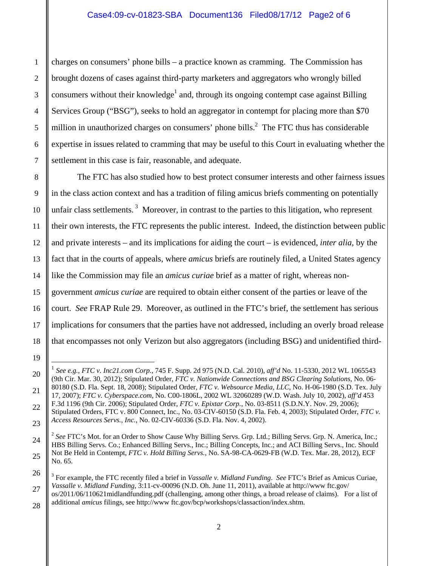charges on consumers' phone bills – a practice known as cramming. The Commission has brought dozens of cases against third-party marketers and aggregators who wrongly billed consumers without their knowledge<sup>1</sup> and, through its ongoing contempt case against Billing Services Group ("BSG"), seeks to hold an aggregator in contempt for placing more than \$70 million in unauthorized charges on consumers' phone bills.<sup>2</sup> The FTC thus has considerable expertise in issues related to cramming that may be useful to this Court in evaluating whether the settlement in this case is fair, reasonable, and adequate.

 The FTC has also studied how to best protect consumer interests and other fairness issues in the class action context and has a tradition of filing amicus briefs commenting on potentially unfair class settlements.<sup>3</sup> Moreover, in contrast to the parties to this litigation, who represent their own interests, the FTC represents the public interest. Indeed, the distinction between public and private interests – and its implications for aiding the court – is evidenced, *inter alia*, by the fact that in the courts of appeals, where *amicus* briefs are routinely filed, a United States agency like the Commission may file an *amicus curiae* brief as a matter of right, whereas nongovernment *amicus curiae* are required to obtain either consent of the parties or leave of the court. *See* FRAP Rule 29. Moreover, as outlined in the FTC's brief, the settlement has serious implications for consumers that the parties have not addressed, including an overly broad release that encompasses not only Verizon but also aggregators (including BSG) and unidentified third-

<sup>1</sup> *See e.g., FTC v. Inc21.com Corp.*, 745 F. Supp. 2d 975 (N.D. Cal. 2010), *aff'd* No. 11-5330, 2012 WL 1065543 (9th Cir. Mar. 30, 2012); Stipulated Order, *FTC v. Nationwide Connections and BSG Clearing Solutions*, No. 06- 80180 (S.D. Fla. Sept. 18, 2008); Stipulated Order, *FTC v. Websource Media, LLC*, No. H-06-1980 (S.D. Tex. July 17, 2007); *FTC v. Cyberspace.com*, No. C00-1806L, 2002 WL 32060289 (W.D. Wash. July 10, 2002), *aff'd* 453 F.3d 1196 (9th Cir. 2006); Stipulated Order, *FTC v. Epixtar Corp.*, No. 03-8511 (S.D.N.Y. Nov. 29, 2006); Stipulated Orders, FTC v. 800 Connect, Inc., No. 03-CIV-60150 (S.D. Fla. Feb. 4, 2003); Stipulated Order, *FTC v.* 

*Access Resources Servs., Inc.*, No. 02-CIV-60336 (S.D. Fla. Nov. 4, 2002).

<sup>&</sup>lt;sup>2</sup> See FTC's Mot. for an Order to Show Cause Why Billing Servs. Grp. Ltd.; Billing Servs. Grp. N. America, Inc.; HBS Billing Servs. Co.; Enhanced Billing Servs., Inc.; Billing Concepts, Inc.; and ACI Billing Servs., Inc. Should Not Be Held in Contempt, *FTC v. Hold Billing Servs.*, No. SA-98-CA-0629-FB (W.D. Tex. Mar. 28, 2012), ECF No. 65.

<sup>3</sup> For example, the FTC recently filed a brief in *Vassalle v. Midland Funding*. *See* FTC's Brief as Amicus Curiae, *Vassalle v. Midland Funding*, 3:11-cv-00096 (N.D. Oh. June 11, 2011), available at http://www ftc.gov/

os/2011/06/110621midlandfunding.pdf (challenging, among other things, a broad release of claims). For a list of additional *amicus* filings, see http://www ftc.gov/bcp/workshops/classaction/index.shtm.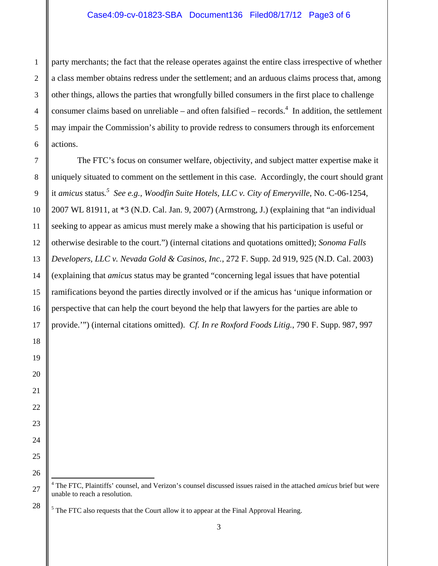#### Case4:09-cv-01823-SBA Document136 Filed08/17/12 Page3 of 6

party merchants; the fact that the release operates against the entire class irrespective of whether a class member obtains redress under the settlement; and an arduous claims process that, among other things, allows the parties that wrongfully billed consumers in the first place to challenge consumer claims based on unreliable – and often falsified – records.<sup>4</sup> In addition, the settlement may impair the Commission's ability to provide redress to consumers through its enforcement actions.

The FTC's focus on consumer welfare, objectivity, and subject matter expertise make it uniquely situated to comment on the settlement in this case. Accordingly, the court should grant it *amicus* status*. 5 See e.g., Woodfin Suite Hotels, LLC v. City of Emeryville*, No. C-06-1254, 2007 WL 81911, at \*3 (N.D. Cal. Jan. 9, 2007) (Armstrong, J.) (explaining that "an individual seeking to appear as amicus must merely make a showing that his participation is useful or otherwise desirable to the court.") (internal citations and quotations omitted); *Sonoma Falls Developers, LLC v. Nevada Gold & Casinos, Inc.*, 272 F. Supp. 2d 919, 925 (N.D. Cal. 2003) (explaining that *amicus* status may be granted "concerning legal issues that have potential ramifications beyond the parties directly involved or if the amicus has 'unique information or perspective that can help the court beyond the help that lawyers for the parties are able to provide.'") (internal citations omitted). *Cf. In re Roxford Foods Litig.*, 790 F. Supp. 987, 997

4 The FTC, Plaintiffs' counsel, and Verizon's counsel discussed issues raised in the attached *amicus* brief but were unable to reach a resolution.

 $<sup>5</sup>$  The FTC also requests that the Court allow it to appear at the Final Approval Hearing.</sup>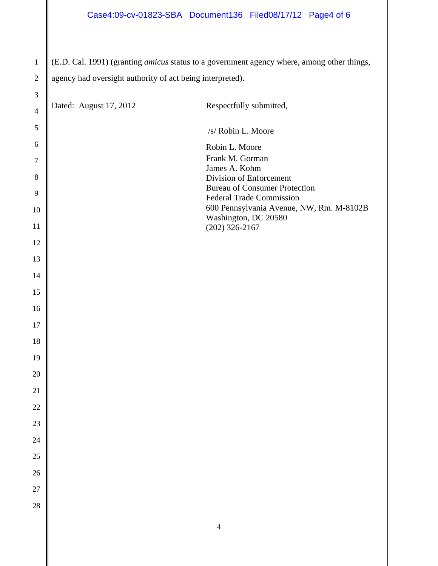(E.D. Cal. 1991) (granting *amicus* status to a government agency where, among other things, agency had oversight authority of act being interpreted).

| $\mathfrak{Z}$ |                        |                                                                  |
|----------------|------------------------|------------------------------------------------------------------|
| $\overline{4}$ | Dated: August 17, 2012 | Respectfully submitted,                                          |
| 5              |                        | /s/ Robin L. Moore                                               |
| 6              |                        | Robin L. Moore                                                   |
| $\tau$         |                        | Frank M. Gorman<br>James A. Kohm                                 |
| $8\,$          |                        | Division of Enforcement<br><b>Bureau of Consumer Protection</b>  |
| $\overline{9}$ |                        | <b>Federal Trade Commission</b>                                  |
| 10             |                        | 600 Pennsylvania Avenue, NW, Rm. M-8102B<br>Washington, DC 20580 |
| 11             |                        | $(202)$ 326-2167                                                 |
| 12<br>13       |                        |                                                                  |
| 14             |                        |                                                                  |
| 15             |                        |                                                                  |
| 16             |                        |                                                                  |
| 17             |                        |                                                                  |
| 18             |                        |                                                                  |
| 19             |                        |                                                                  |
| 20             |                        |                                                                  |
| 21             |                        |                                                                  |
| 22             |                        |                                                                  |
| $23\,$         |                        |                                                                  |
| 24             |                        |                                                                  |
| 25             |                        |                                                                  |
| 26             |                        |                                                                  |
| 27             |                        |                                                                  |
| 28             |                        |                                                                  |
|                |                        | $\overline{4}$                                                   |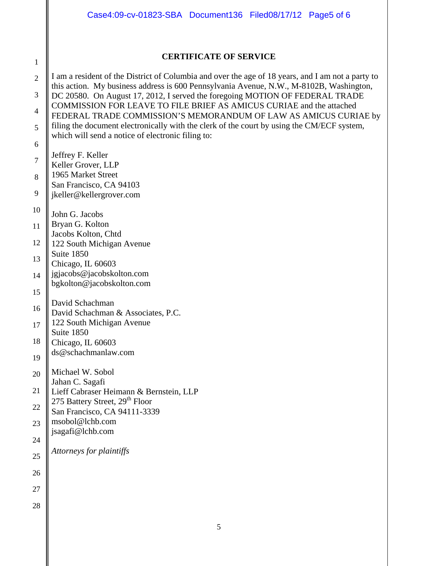|                     | Case4:09-cv-01823-SBA Document136 Filed08/17/12 Page5 of 6                                                                                                                                                               |
|---------------------|--------------------------------------------------------------------------------------------------------------------------------------------------------------------------------------------------------------------------|
|                     | <b>CERTIFICATE OF SERVICE</b>                                                                                                                                                                                            |
| $\mathbf{1}$        |                                                                                                                                                                                                                          |
| $\overline{2}$<br>3 | I am a resident of the District of Columbia and over the age of 18 years, and I am not a party to<br>this action. My business address is 600 Pennsylvania Avenue, N.W., M-8102B, Washington,                             |
| $\overline{4}$      | DC 20580. On August 17, 2012, I served the foregoing MOTION OF FEDERAL TRADE<br>COMMISSION FOR LEAVE TO FILE BRIEF AS AMICUS CURIAE and the attached<br>FEDERAL TRADE COMMISSION'S MEMORANDUM OF LAW AS AMICUS CURIAE by |
| 5                   | filing the document electronically with the clerk of the court by using the CM/ECF system,<br>which will send a notice of electronic filing to:                                                                          |
| 6                   |                                                                                                                                                                                                                          |
| $\tau$              | Jeffrey F. Keller                                                                                                                                                                                                        |
| 8                   | Keller Grover, LLP<br>1965 Market Street                                                                                                                                                                                 |
|                     | San Francisco, CA 94103                                                                                                                                                                                                  |
| 9                   | jkeller@kellergrover.com                                                                                                                                                                                                 |
| 10                  | John G. Jacobs                                                                                                                                                                                                           |
| 11                  | Bryan G. Kolton                                                                                                                                                                                                          |
| 12                  | Jacobs Kolton, Chtd<br>122 South Michigan Avenue                                                                                                                                                                         |
| 13                  | Suite 1850                                                                                                                                                                                                               |
|                     | Chicago, IL 60603<br>jgjacobs@jacobskolton.com                                                                                                                                                                           |
| 14                  | bgkolton@jacobskolton.com                                                                                                                                                                                                |
| 15                  |                                                                                                                                                                                                                          |
| 16                  | David Schachman<br>David Schachman & Associates, P.C.                                                                                                                                                                    |
| 17                  | 122 South Michigan Avenue                                                                                                                                                                                                |
| 18                  | Suite 1850<br>Chicago, IL 60603                                                                                                                                                                                          |
|                     | ds@schachmanlaw.com                                                                                                                                                                                                      |
| 19                  |                                                                                                                                                                                                                          |
| 20                  | Michael W. Sobol<br>Jahan C. Sagafi                                                                                                                                                                                      |
| 21                  | Lieff Cabraser Heimann & Bernstein, LLP<br>275 Battery Street, 29 <sup>th</sup> Floor                                                                                                                                    |
| 22                  | San Francisco, CA 94111-3339                                                                                                                                                                                             |
| 23                  | msobol@lchb.com<br>jsagafi@lchb.com                                                                                                                                                                                      |
| 24                  |                                                                                                                                                                                                                          |
| 25                  | Attorneys for plaintiffs                                                                                                                                                                                                 |
| 26                  |                                                                                                                                                                                                                          |
| 27                  |                                                                                                                                                                                                                          |
| 28                  |                                                                                                                                                                                                                          |
|                     |                                                                                                                                                                                                                          |
|                     | 5                                                                                                                                                                                                                        |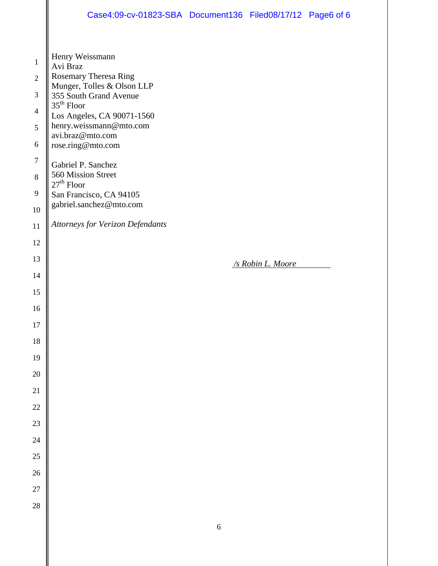|                                                                                                  | Case4:09-cv-01823-SBA Document136 Filed08/17/12 Page6 of 6                                                                                                                                                                                                                                                            |            |                   |  |
|--------------------------------------------------------------------------------------------------|-----------------------------------------------------------------------------------------------------------------------------------------------------------------------------------------------------------------------------------------------------------------------------------------------------------------------|------------|-------------------|--|
| $\mathbf{1}$<br>$\mathfrak{2}$<br>$\mathfrak{Z}$<br>$\overline{4}$<br>5<br>6<br>$\tau$<br>8<br>9 | Henry Weissmann<br>Avi Braz<br>Rosemary Theresa Ring<br>Munger, Tolles & Olson LLP<br>355 South Grand Avenue<br>$35th$ Floor<br>Los Angeles, CA 90071-1560<br>henry.weissmann@mto.com<br>avi.braz@mto.com<br>rose.ring@mto.com<br>Gabriel P. Sanchez<br>560 Mission Street<br>$27th$ Floor<br>San Francisco, CA 94105 |            |                   |  |
| 10                                                                                               | gabriel.sanchez@mto.com                                                                                                                                                                                                                                                                                               |            |                   |  |
| 11                                                                                               | <b>Attorneys for Verizon Defendants</b>                                                                                                                                                                                                                                                                               |            |                   |  |
| 12<br>13                                                                                         |                                                                                                                                                                                                                                                                                                                       |            |                   |  |
| 14                                                                                               |                                                                                                                                                                                                                                                                                                                       |            | /s Robin L. Moore |  |
| 15                                                                                               |                                                                                                                                                                                                                                                                                                                       |            |                   |  |
| 16                                                                                               |                                                                                                                                                                                                                                                                                                                       |            |                   |  |
| $17\,$                                                                                           |                                                                                                                                                                                                                                                                                                                       |            |                   |  |
| $18\,$                                                                                           |                                                                                                                                                                                                                                                                                                                       |            |                   |  |
| 19                                                                                               |                                                                                                                                                                                                                                                                                                                       |            |                   |  |
| 20                                                                                               |                                                                                                                                                                                                                                                                                                                       |            |                   |  |
| 21                                                                                               |                                                                                                                                                                                                                                                                                                                       |            |                   |  |
| $22\,$                                                                                           |                                                                                                                                                                                                                                                                                                                       |            |                   |  |
| 23                                                                                               |                                                                                                                                                                                                                                                                                                                       |            |                   |  |
| 24                                                                                               |                                                                                                                                                                                                                                                                                                                       |            |                   |  |
| 25                                                                                               |                                                                                                                                                                                                                                                                                                                       |            |                   |  |
| 26                                                                                               |                                                                                                                                                                                                                                                                                                                       |            |                   |  |
| 27                                                                                               |                                                                                                                                                                                                                                                                                                                       |            |                   |  |
| $28\,$                                                                                           |                                                                                                                                                                                                                                                                                                                       |            |                   |  |
|                                                                                                  |                                                                                                                                                                                                                                                                                                                       | $\sqrt{6}$ |                   |  |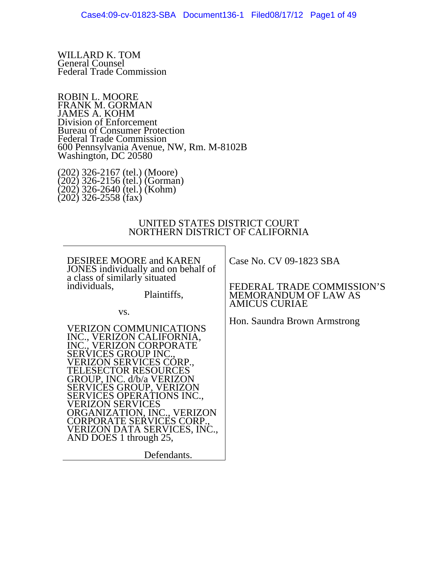WILLARD K. TOM General Counsel Federal Trade Commission

ROBIN L. MOORE FRANK M. GORMAN JAMES A. KOHM Division of Enforcement Bureau of Consumer Protection Federal Trade Commission 600 Pennsylvania Avenue, NW, Rm. M-8102B Washington, DC 20580

(202) 326-2167 (tel.) (Moore) (202) 326-2156 (tel.) (Gorman) (202) 326-2640 (tel.) (Kohm) (202) 326-2558 (fax)

#### UNITED STATES DISTRICT COURT NORTHERN DISTRICT OF CALIFORNIA

DESIREE MOORE and KAREN JONES individually and on behalf of a class of similarly situated individuals,

Plaintiffs,

vs.

VERIZON COMMUNICATIONS INC., VERIZON CALIFORNIA, INC., VERIZON CORPORATE SERVICES GROUP INC., VERIZON SERVICES CORP., TELESECTOR RESOURCES GROUP, INC. d/b/a VERIZON SERVICES GROUP, VERIZON SERVICES OPERATIONS INC., VERIZON SERVICES ORGANIZATION, INC., VERIZON CORPORATE SERVICES CORP., VERIZON DATA SERVICES, INC., AND DOES 1 through 25,

Defendants.

Case No. CV 09-1823 SBA

FEDERAL TRADE COMMISSION'S MEMORANDUM OF LAW AS AMICUS CURIAE

Hon. Saundra Brown Armstrong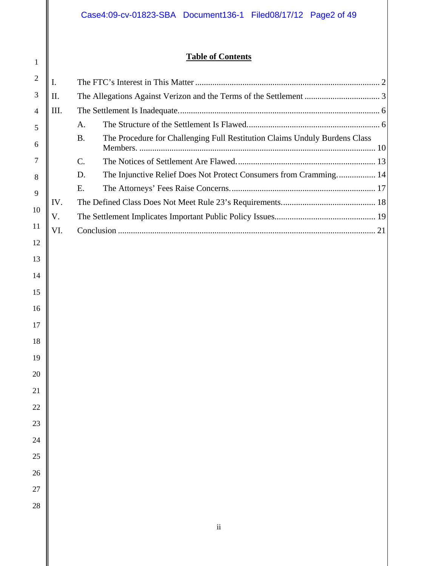### **Table of Contents**

| $\overline{2}$ | I.  |                                                                                                    |
|----------------|-----|----------------------------------------------------------------------------------------------------|
| 3              | II. |                                                                                                    |
| 4              | Ш.  |                                                                                                    |
| 5              |     | A.                                                                                                 |
| 6              |     | The Procedure for Challenging Full Restitution Claims Unduly Burdens Class<br><b>B.</b><br>Members |
| 7              |     | C.                                                                                                 |
| 8              |     | The Injunctive Relief Does Not Protect Consumers from Cramming 14<br>D.                            |
| 9              |     | Ε.                                                                                                 |
|                | IV. |                                                                                                    |
| 10             | V.  |                                                                                                    |
| 11             | VI. |                                                                                                    |
| 12             |     |                                                                                                    |
| 13             |     |                                                                                                    |
| 14             |     |                                                                                                    |
| 15             |     |                                                                                                    |
| 16             |     |                                                                                                    |
| 17             |     |                                                                                                    |
| 18             |     |                                                                                                    |
|                |     |                                                                                                    |
| 19             |     |                                                                                                    |
| 20             |     |                                                                                                    |
| 21             |     |                                                                                                    |
| 22             |     |                                                                                                    |
| 23             |     |                                                                                                    |
| 24             |     |                                                                                                    |
| 25             |     |                                                                                                    |
|                |     |                                                                                                    |
| 26             |     |                                                                                                    |
| 27             |     |                                                                                                    |
| 28             |     |                                                                                                    |
|                |     | $\rm ii$                                                                                           |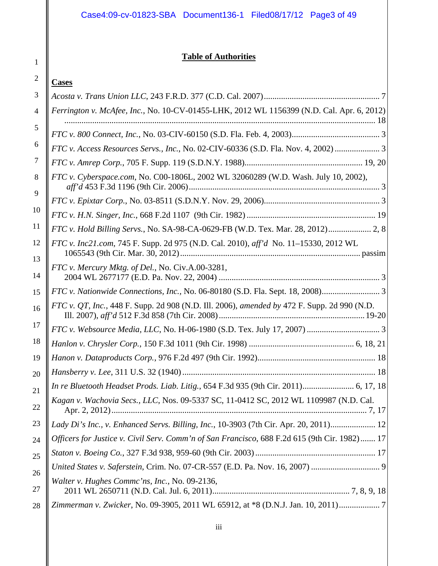### **Table of Authorities**

### **Cases**

1

| 3        |                                                                                              |
|----------|----------------------------------------------------------------------------------------------|
| 4        | Ferrington v. McAfee, Inc., No. 10-CV-01455-LHK, 2012 WL 1156399 (N.D. Cal. Apr. 6, 2012)    |
| 5        |                                                                                              |
| 6        | FTC v. Access Resources Servs., Inc., No. 02-CIV-60336 (S.D. Fla. Nov. 4, 2002)  3           |
| $\gamma$ |                                                                                              |
| 8        | FTC v. Cyberspace.com, No. C00-1806L, 2002 WL 32060289 (W.D. Wash. July 10, 2002),           |
| 9        |                                                                                              |
| 10       |                                                                                              |
| 11       | FTC v. Hold Billing Servs., No. SA-98-CA-0629-FB (W.D. Tex. Mar. 28, 2012) 2, 8              |
| 12       | FTC v. Inc21.com, 745 F. Supp. 2d 975 (N.D. Cal. 2010), aff'd No. 11–15330, 2012 WL          |
| 13       |                                                                                              |
| 14       | FTC v. Mercury Mktg. of Del., No. Civ.A.00-3281,                                             |
| 15       | FTC v. Nationwide Connections, Inc., No. 06-80180 (S.D. Fla. Sept. 18, 2008)                 |
| 16       | FTC v. QT, Inc., 448 F. Supp. 2d 908 (N.D. Ill. 2006), amended by 472 F. Supp. 2d 990 (N.D.  |
| 17       |                                                                                              |
| 18       |                                                                                              |
| 19       |                                                                                              |
| 20       |                                                                                              |
| 21       | In re Bluetooth Headset Prods. Liab. Litig., 654 F.3d 935 (9th Cir. 2011) 6, 17, 18          |
| 22       | Kagan v. Wachovia Secs., LLC, Nos. 09-5337 SC, 11-0412 SC, 2012 WL 1109987 (N.D. Cal.        |
| 23       | Lady Di's Inc., v. Enhanced Servs. Billing, Inc., 10-3903 (7th Cir. Apr. 20, 2011) 12        |
| 24       | Officers for Justice v. Civil Serv. Comm'n of San Francisco, 688 F.2d 615 (9th Cir. 1982) 17 |
| 25       |                                                                                              |
| 26       |                                                                                              |
| 27       | Walter v. Hughes Commc'ns, Inc., No. 09-2136,                                                |
| 28       | Zimmerman v. Zwicker, No. 09-3905, 2011 WL 65912, at *8 (D.N.J. Jan. 10, 2011)               |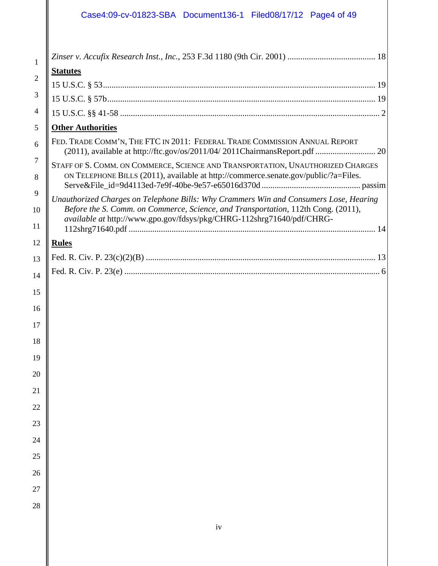## Case4:09-cv-01823-SBA Document136-1 Filed08/17/12 Page4 of 49

| 1              |                                                                                                                                                                        |
|----------------|------------------------------------------------------------------------------------------------------------------------------------------------------------------------|
| $\overline{2}$ | <b>Statutes</b>                                                                                                                                                        |
|                |                                                                                                                                                                        |
|                |                                                                                                                                                                        |
|                |                                                                                                                                                                        |
|                | <b>Other Authorities</b>                                                                                                                                               |
|                | FED. TRADE COMM'N, THE FTC IN 2011: FEDERAL TRADE COMMISSION ANNUAL REPORT                                                                                             |
|                | STAFF OF S. COMM. ON COMMERCE, SCIENCE AND TRANSPORTATION, UNAUTHORIZED CHARGES<br>ON TELEPHONE BILLS (2011), available at http://commerce.senate.gov/public/?a=Files. |
|                | Unauthorized Charges on Telephone Bills: Why Crammers Win and Consumers Lose, Hearing                                                                                  |
|                | Before the S. Comm. on Commerce, Science, and Transportation, 112th Cong. (2011),                                                                                      |
|                | available at http://www.gpo.gov/fdsys/pkg/CHRG-112shrg71640/pdf/CHRG-                                                                                                  |
|                | <b>Rules</b>                                                                                                                                                           |
|                |                                                                                                                                                                        |
|                |                                                                                                                                                                        |
|                |                                                                                                                                                                        |
|                |                                                                                                                                                                        |
|                |                                                                                                                                                                        |
|                |                                                                                                                                                                        |
|                |                                                                                                                                                                        |
|                |                                                                                                                                                                        |
|                |                                                                                                                                                                        |
|                |                                                                                                                                                                        |
|                |                                                                                                                                                                        |
|                |                                                                                                                                                                        |
|                |                                                                                                                                                                        |
|                |                                                                                                                                                                        |
|                |                                                                                                                                                                        |
|                |                                                                                                                                                                        |
|                |                                                                                                                                                                        |
|                |                                                                                                                                                                        |
|                |                                                                                                                                                                        |
|                | iv                                                                                                                                                                     |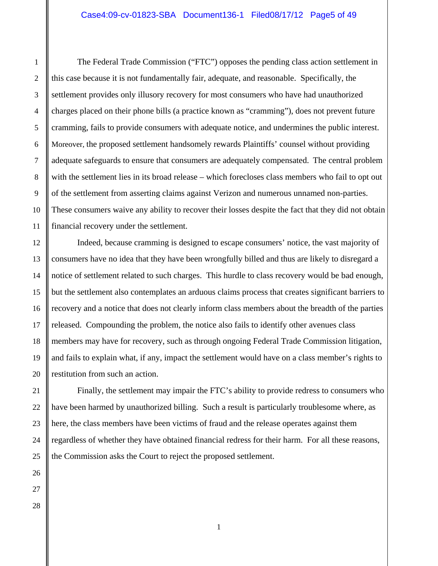The Federal Trade Commission ("FTC") opposes the pending class action settlement in this case because it is not fundamentally fair, adequate, and reasonable. Specifically, the settlement provides only illusory recovery for most consumers who have had unauthorized charges placed on their phone bills (a practice known as "cramming"), does not prevent future cramming, fails to provide consumers with adequate notice, and undermines the public interest. Moreover, the proposed settlement handsomely rewards Plaintiffs' counsel without providing adequate safeguards to ensure that consumers are adequately compensated. The central problem with the settlement lies in its broad release – which forecloses class members who fail to opt out of the settlement from asserting claims against Verizon and numerous unnamed non-parties. These consumers waive any ability to recover their losses despite the fact that they did not obtain financial recovery under the settlement.

Indeed, because cramming is designed to escape consumers' notice, the vast majority of consumers have no idea that they have been wrongfully billed and thus are likely to disregard a notice of settlement related to such charges. This hurdle to class recovery would be bad enough, but the settlement also contemplates an arduous claims process that creates significant barriers to recovery and a notice that does not clearly inform class members about the breadth of the parties released. Compounding the problem, the notice also fails to identify other avenues class members may have for recovery, such as through ongoing Federal Trade Commission litigation, and fails to explain what, if any, impact the settlement would have on a class member's rights to restitution from such an action.

Finally, the settlement may impair the FTC's ability to provide redress to consumers who have been harmed by unauthorized billing. Such a result is particularly troublesome where, as here, the class members have been victims of fraud and the release operates against them regardless of whether they have obtained financial redress for their harm. For all these reasons, the Commission asks the Court to reject the proposed settlement.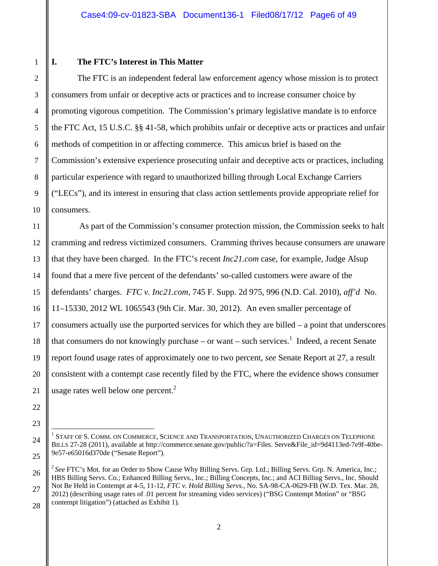1 2

3

4

5

6

7

8

9

10

11

12

13

14

15

16

17

18

19

20

21

22

23

24

25

### **I. The FTC's Interest in This Matter**

 The FTC is an independent federal law enforcement agency whose mission is to protect consumers from unfair or deceptive acts or practices and to increase consumer choice by promoting vigorous competition. The Commission's primary legislative mandate is to enforce the FTC Act, 15 U.S.C. §§ 41-58, which prohibits unfair or deceptive acts or practices and unfair methods of competition in or affecting commerce. This amicus brief is based on the Commission's extensive experience prosecuting unfair and deceptive acts or practices, including particular experience with regard to unauthorized billing through Local Exchange Carriers ("LECs"), and its interest in ensuring that class action settlements provide appropriate relief for consumers.

 As part of the Commission's consumer protection mission, the Commission seeks to halt cramming and redress victimized consumers. Cramming thrives because consumers are unaware that they have been charged. In the FTC's recent *Inc21.com* case, for example, Judge Alsup found that a mere five percent of the defendants' so-called customers were aware of the defendants' charges. *FTC v. Inc21.com*, 745 F. Supp. 2d 975, 996 (N.D. Cal. 2010), *aff'd* No. 11–15330, 2012 WL 1065543 (9th Cir. Mar. 30, 2012). An even smaller percentage of consumers actually use the purported services for which they are billed – a point that underscores that consumers do not knowingly purchase  $-$  or want  $-$  such services.<sup>1</sup> Indeed, a recent Senate report found usage rates of approximately one to two percent, *see* Senate Report at 27, a result consistent with a contempt case recently filed by the FTC, where the evidence shows consumer usage rates well below one percent. $2$ 

l  $^{\rm 1}$  Staff of S. Comm. on Commerce, Science and Transportation, Unauthorized Charges on Telephone BILLS 27-28 (2011), available at http://commerce.senate.gov/public/?a=Files. Serve&File\_id=9d4113ed-7e9f-40be-9e57-e65016d370de ("Senate Report").

 <sup>26</sup>  <sup>2</sup> See FTC's Mot. for an Order to Show Cause Why Billing Servs. Grp. Ltd.; Billing Servs. Grp. N. America, Inc.; HBS Billing Servs. Co.; Enhanced Billing Servs., Inc.; Billing Concepts, Inc.; and ACI Billing Servs., Inc. Should Not Be Held in Contempt at 4-5, 11-12, *FTC v. Hold Billing Servs.*, No. SA-98-CA-0629-FB (W.D. Tex. Mar. 28,

 <sup>27</sup>  28 2012) (describing usage rates of .01 percent for streaming video services) ("BSG Contempt Motion" or "BSG contempt litigation") (attached as Exhibit 1).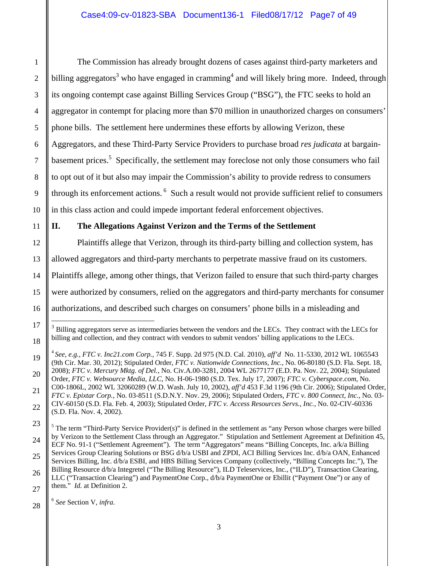The Commission has already brought dozens of cases against third-party marketers and billing aggregators<sup>3</sup> who have engaged in cramming<sup>4</sup> and will likely bring more. Indeed, through its ongoing contempt case against Billing Services Group ("BSG"), the FTC seeks to hold an aggregator in contempt for placing more than \$70 million in unauthorized charges on consumers' phone bills. The settlement here undermines these efforts by allowing Verizon, these Aggregators, and these Third-Party Service Providers to purchase broad *res judicata* at bargainbasement prices.<sup>5</sup> Specifically, the settlement may foreclose not only those consumers who fail to opt out of it but also may impair the Commission's ability to provide redress to consumers through its enforcement actions.<sup>6</sup> Such a result would not provide sufficient relief to consumers in this class action and could impede important federal enforcement objectives.

### **II. The Allegations Against Verizon and the Terms of the Settlement**

Plaintiffs allege that Verizon, through its third-party billing and collection system, has allowed aggregators and third-party merchants to perpetrate massive fraud on its customers. Plaintiffs allege, among other things, that Verizon failed to ensure that such third-party charges were authorized by consumers, relied on the aggregators and third-party merchants for consumer authorizations, and described such charges on consumers' phone bills in a misleading and

 $3$  Billing aggregators serve as intermediaries between the vendors and the LECs. They contract with the LECs for billing and collection, and they contract with vendors to submit vendors' billing applications to the LECs.

<sup>4</sup>*See, e.g., FTC v. Inc21.com Corp.*, 745 F. Supp. 2d 975 (N.D. Cal. 2010), *aff'd* No. 11-5330, 2012 WL 1065543 (9th Cir. Mar. 30, 2012); Stipulated Order, *FTC v. Nationwide Connections, Inc.,* No. 06-80180 (S.D. Fla. Sept. 18, 2008); *FTC v. Mercury Mktg. of Del.*, No. Civ.A.00-3281, 2004 WL 2677177 (E.D. Pa. Nov. 22, 2004); Stipulated Order, *FTC v. Websource Media, LLC*, No. H-06-1980 (S.D. Tex. July 17, 2007); *FTC v. Cyberspace.com*, No. C00-1806L, 2002 WL 32060289 (W.D. Wash. July 10, 2002), *aff'd* 453 F.3d 1196 (9th Cir. 2006); Stipulated Order, *FTC v. Epixtar Corp.*, No. 03-8511 (S.D.N.Y. Nov. 29, 2006); Stipulated Orders, *FTC v. 800 Connect, Inc.*, No. 03- CIV-60150 (S.D. Fla. Feb. 4, 2003); Stipulated Order, *FTC v. Access Resources Servs., Inc.*, No. 02-CIV-60336 (S.D. Fla. Nov. 4, 2002).

 $<sup>5</sup>$  The term "Third-Party Service Provider(s)" is defined in the settlement as "any Person whose charges were billed</sup> by Verizon to the Settlement Class through an Aggregator." Stipulation and Settlement Agreement at Definition 45, ECF No. 91-1 ("Settlement Agreement"). The term "Aggregators" means "Billing Concepts, Inc. a/k/a Billing Services Group Clearing Solutions or BSG d/b/a USBI and ZPDI, ACI Billing Services Inc. d/b/a OAN, Enhanced Services Billing, Inc. d/b/a ESBI, and HBS Billing Services Company (collectively, "Billing Concepts Inc."), The Billing Resource d/b/a Integretel ("The Billing Resource"), ILD Teleservices, Inc., ("ILD"), Transaction Clearing, LLC ("Transaction Clearing") and PaymentOne Corp., d/b/a PaymentOne or Ebillit ("Payment One") or any of them." *Id.* at Definition 2.

 <sup>28</sup>  <sup>6</sup> *See* Section V, *infra*.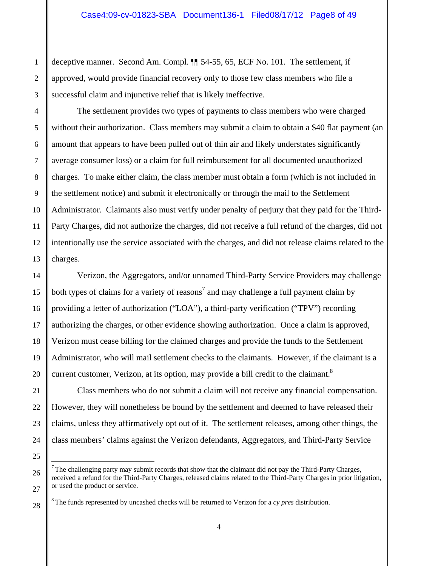deceptive manner. Second Am. Compl. ¶¶ 54-55, 65, ECF No. 101. The settlement, if approved, would provide financial recovery only to those few class members who file a successful claim and injunctive relief that is likely ineffective.

The settlement provides two types of payments to class members who were charged without their authorization. Class members may submit a claim to obtain a \$40 flat payment (an amount that appears to have been pulled out of thin air and likely understates significantly average consumer loss) or a claim for full reimbursement for all documented unauthorized charges. To make either claim, the class member must obtain a form (which is not included in the settlement notice) and submit it electronically or through the mail to the Settlement Administrator. Claimants also must verify under penalty of perjury that they paid for the Third-Party Charges, did not authorize the charges, did not receive a full refund of the charges, did not intentionally use the service associated with the charges, and did not release claims related to the charges.

Verizon, the Aggregators, and/or unnamed Third-Party Service Providers may challenge both types of claims for a variety of reasons<sup>7</sup> and may challenge a full payment claim by providing a letter of authorization ("LOA"), a third-party verification ("TPV") recording authorizing the charges, or other evidence showing authorization. Once a claim is approved, Verizon must cease billing for the claimed charges and provide the funds to the Settlement Administrator, who will mail settlement checks to the claimants. However, if the claimant is a current customer, Verizon, at its option, may provide a bill credit to the claimant. $8$ 

Class members who do not submit a claim will not receive any financial compensation. However, they will nonetheless be bound by the settlement and deemed to have released their claims, unless they affirmatively opt out of it. The settlement releases, among other things, the class members' claims against the Verizon defendants, Aggregators, and Third-Party Service

The challenging party may submit records that show that the claimant did not pay the Third-Party Charges, received a refund for the Third-Party Charges, released claims related to the Third-Party Charges in prior litigation, or used the product or service.

8 The funds represented by uncashed checks will be returned to Verizon for a *cy pres* distribution.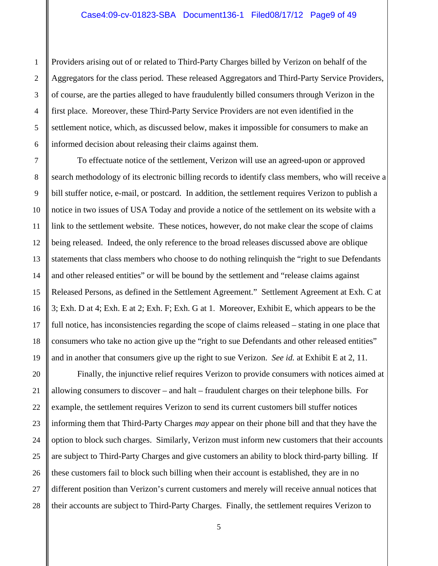Providers arising out of or related to Third-Party Charges billed by Verizon on behalf of the Aggregators for the class period. These released Aggregators and Third-Party Service Providers, of course, are the parties alleged to have fraudulently billed consumers through Verizon in the first place. Moreover, these Third-Party Service Providers are not even identified in the settlement notice, which, as discussed below, makes it impossible for consumers to make an informed decision about releasing their claims against them.

To effectuate notice of the settlement, Verizon will use an agreed-upon or approved search methodology of its electronic billing records to identify class members, who will receive a bill stuffer notice, e-mail, or postcard. In addition, the settlement requires Verizon to publish a notice in two issues of USA Today and provide a notice of the settlement on its website with a link to the settlement website. These notices, however, do not make clear the scope of claims being released. Indeed, the only reference to the broad releases discussed above are oblique statements that class members who choose to do nothing relinquish the "right to sue Defendants and other released entities" or will be bound by the settlement and "release claims against Released Persons, as defined in the Settlement Agreement." Settlement Agreement at Exh. C at 3; Exh. D at 4; Exh. E at 2; Exh. F; Exh. G at 1. Moreover, Exhibit E, which appears to be the full notice, has inconsistencies regarding the scope of claims released – stating in one place that consumers who take no action give up the "right to sue Defendants and other released entities" and in another that consumers give up the right to sue Verizon. *See id.* at Exhibit E at 2, 11.

Finally, the injunctive relief requires Verizon to provide consumers with notices aimed at allowing consumers to discover – and halt – fraudulent charges on their telephone bills. For example, the settlement requires Verizon to send its current customers bill stuffer notices informing them that Third-Party Charges *may* appear on their phone bill and that they have the option to block such charges. Similarly, Verizon must inform new customers that their accounts are subject to Third-Party Charges and give customers an ability to block third-party billing. If these customers fail to block such billing when their account is established, they are in no different position than Verizon's current customers and merely will receive annual notices that their accounts are subject to Third-Party Charges. Finally, the settlement requires Verizon to

28

1

2

3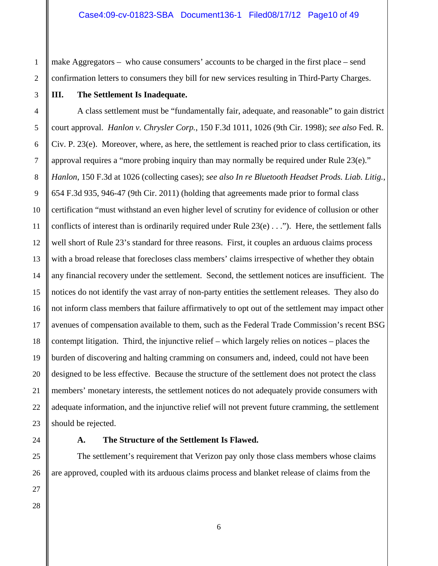make Aggregators – who cause consumers' accounts to be charged in the first place – send confirmation letters to consumers they bill for new services resulting in Third-Party Charges.

**III. The Settlement Is Inadequate.** 

 A class settlement must be "fundamentally fair, adequate, and reasonable" to gain district court approval. *Hanlon v. Chrysler Corp.*, 150 F.3d 1011, 1026 (9th Cir. 1998); *see also* Fed. R. Civ. P. 23(e). Moreover, where, as here, the settlement is reached prior to class certification, its approval requires a "more probing inquiry than may normally be required under Rule 23(e)." *Hanlon*, 150 F.3d at 1026 (collecting cases); *see also In re Bluetooth Headset Prods. Liab. Litig.*, 654 F.3d 935, 946-47 (9th Cir. 2011) (holding that agreements made prior to formal class certification "must withstand an even higher level of scrutiny for evidence of collusion or other conflicts of interest than is ordinarily required under Rule 23(e) . . ."). Here, the settlement falls well short of Rule 23's standard for three reasons. First, it couples an arduous claims process with a broad release that forecloses class members' claims irrespective of whether they obtain any financial recovery under the settlement. Second, the settlement notices are insufficient. The notices do not identify the vast array of non-party entities the settlement releases. They also do not inform class members that failure affirmatively to opt out of the settlement may impact other avenues of compensation available to them, such as the Federal Trade Commission's recent BSG contempt litigation. Third, the injunctive relief – which largely relies on notices – places the burden of discovering and halting cramming on consumers and, indeed, could not have been designed to be less effective. Because the structure of the settlement does not protect the class members' monetary interests, the settlement notices do not adequately provide consumers with adequate information, and the injunctive relief will not prevent future cramming, the settlement should be rejected.

#### **A. The Structure of the Settlement Is Flawed.**

 The settlement's requirement that Verizon pay only those class members whose claims are approved, coupled with its arduous claims process and blanket release of claims from the

1

2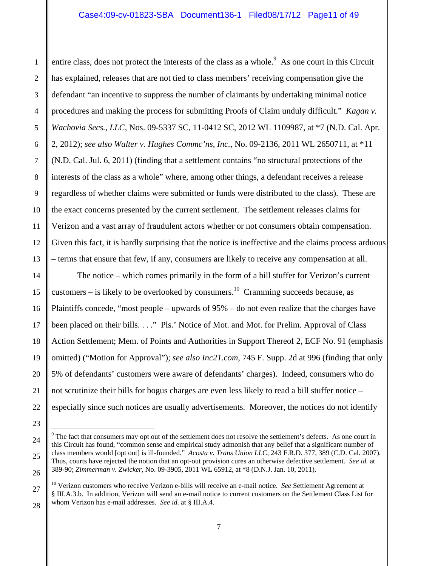entire class, does not protect the interests of the class as a whole.<sup>9</sup> As one court in this Circuit has explained, releases that are not tied to class members' receiving compensation give the defendant "an incentive to suppress the number of claimants by undertaking minimal notice procedures and making the process for submitting Proofs of Claim unduly difficult." *Kagan v. Wachovia Secs., LLC*, Nos. 09-5337 SC, 11-0412 SC, 2012 WL 1109987, at \*7 (N.D. Cal. Apr. 2, 2012); *see also Walter v. Hughes Commc'ns, Inc.*, No. 09-2136, 2011 WL 2650711, at \*11 (N.D. Cal. Jul. 6, 2011) (finding that a settlement contains "no structural protections of the interests of the class as a whole" where, among other things, a defendant receives a release regardless of whether claims were submitted or funds were distributed to the class). These are the exact concerns presented by the current settlement. The settlement releases claims for Verizon and a vast array of fraudulent actors whether or not consumers obtain compensation. Given this fact, it is hardly surprising that the notice is ineffective and the claims process arduous – terms that ensure that few, if any, consumers are likely to receive any compensation at all.

The notice – which comes primarily in the form of a bill stuffer for Verizon's current customers – is likely to be overlooked by consumers.<sup>10</sup> Cramming succeeds because, as Plaintiffs concede, "most people – upwards of 95% – do not even realize that the charges have been placed on their bills. . . ." Pls.' Notice of Mot. and Mot. for Prelim. Approval of Class Action Settlement; Mem. of Points and Authorities in Support Thereof 2, ECF No. 91 (emphasis omitted) ("Motion for Approval"); *see also Inc21.com*, 745 F. Supp. 2d at 996 (finding that only 5% of defendants' customers were aware of defendants' charges). Indeed, consumers who do not scrutinize their bills for bogus charges are even less likely to read a bill stuffer notice – especially since such notices are usually advertisements. Moreover, the notices do not identify

l

 $9^9$  The fact that consumers may opt out of the settlement does not resolve the settlement's defects. As one court in this Circuit has found, "common sense and empirical study admonish that any belief that a significant number of class members would [opt out] is ill-founded." *Acosta v. Trans Union LLC*, 243 F.R.D. 377, 389 (C.D. Cal. 2007). Thus, courts have rejected the notion that an opt-out provision cures an otherwise defective settlement. *See id.* at 389-90; *Zimmerman v. Zwicker*, No. 09-3905, 2011 WL 65912, at \*8 (D.N.J. Jan. 10, 2011).

<sup>10</sup> Verizon customers who receive Verizon e-bills will receive an e-mail notice. *See* Settlement Agreement at § III.A.3.b. In addition, Verizon will send an e-mail notice to current customers on the Settlement Class List for whom Verizon has e-mail addresses. *See id.* at § III.A.4.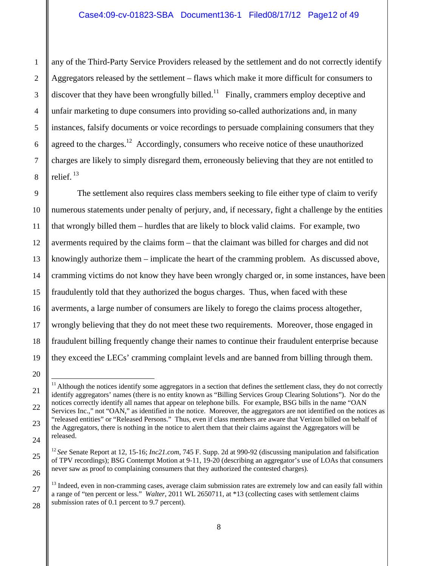any of the Third-Party Service Providers released by the settlement and do not correctly identify Aggregators released by the settlement – flaws which make it more difficult for consumers to discover that they have been wrongfully billed.<sup>11</sup> Finally, crammers employ deceptive and unfair marketing to dupe consumers into providing so-called authorizations and, in many instances, falsify documents or voice recordings to persuade complaining consumers that they agreed to the charges.<sup>12</sup> Accordingly, consumers who receive notice of these unauthorized charges are likely to simply disregard them, erroneously believing that they are not entitled to relief. 13

The settlement also requires class members seeking to file either type of claim to verify numerous statements under penalty of perjury, and, if necessary, fight a challenge by the entities that wrongly billed them – hurdles that are likely to block valid claims. For example, two averments required by the claims form – that the claimant was billed for charges and did not knowingly authorize them – implicate the heart of the cramming problem. As discussed above, cramming victims do not know they have been wrongly charged or, in some instances, have been fraudulently told that they authorized the bogus charges. Thus, when faced with these averments, a large number of consumers are likely to forego the claims process altogether, wrongly believing that they do not meet these two requirements. Moreover, those engaged in fraudulent billing frequently change their names to continue their fraudulent enterprise because they exceed the LECs' cramming complaint levels and are banned from billing through them.

l  $11$  Although the notices identify some aggregators in a section that defines the settlement class, they do not correctly identify aggregators' names (there is no entity known as "Billing Services Group Clearing Solutions"). Nor do the notices correctly identify all names that appear on telephone bills. For example, BSG bills in the name "OAN Services Inc.," not "OAN," as identified in the notice. Moreover, the aggregators are not identified on the notices as "released entities" or "Released Persons." Thus, even if class members are aware that Verizon billed on behalf of the Aggregators, there is nothing in the notice to alert them that their claims against the Aggregators will be released.

<sup>&</sup>lt;sup>12</sup> See Senate Report at 12, 15-16; *Inc21.com*, 745 F. Supp. 2d at 990-92 (discussing manipulation and falsification of TPV recordings); BSG Contempt Motion at 9-11, 19-20 (describing an aggregator's use of LOAs that consumers never saw as proof to complaining consumers that they authorized the contested charges).

<sup>&</sup>lt;sup>13</sup> Indeed, even in non-cramming cases, average claim submission rates are extremely low and can easily fall within a range of "ten percent or less." *Walter*, 2011 WL 2650711, at \*13 (collecting cases with settlement claims submission rates of 0.1 percent to 9.7 percent).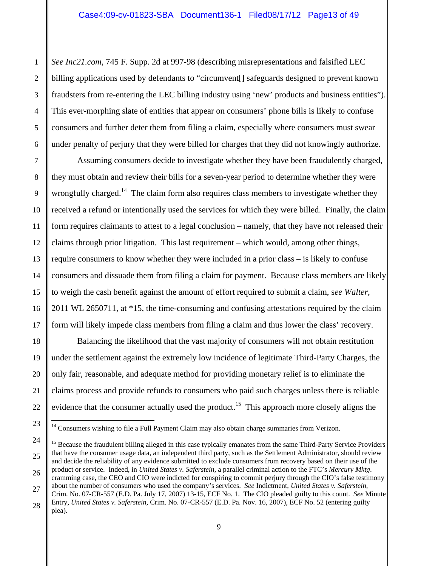*See Inc21.com*, 745 F. Supp. 2d at 997-98 (describing misrepresentations and falsified LEC billing applications used by defendants to "circumvent[] safeguards designed to prevent known fraudsters from re-entering the LEC billing industry using 'new' products and business entities"). This ever-morphing slate of entities that appear on consumers' phone bills is likely to confuse consumers and further deter them from filing a claim, especially where consumers must swear under penalty of perjury that they were billed for charges that they did not knowingly authorize.

Assuming consumers decide to investigate whether they have been fraudulently charged, they must obtain and review their bills for a seven-year period to determine whether they were wrongfully charged.<sup>14</sup> The claim form also requires class members to investigate whether they received a refund or intentionally used the services for which they were billed. Finally, the claim form requires claimants to attest to a legal conclusion – namely, that they have not released their claims through prior litigation. This last requirement – which would, among other things, require consumers to know whether they were included in a prior class – is likely to confuse consumers and dissuade them from filing a claim for payment. Because class members are likely to weigh the cash benefit against the amount of effort required to submit a claim, s*ee Walter*, 2011 WL 2650711, at \*15, the time-consuming and confusing attestations required by the claim form will likely impede class members from filing a claim and thus lower the class' recovery.

Balancing the likelihood that the vast majority of consumers will not obtain restitution under the settlement against the extremely low incidence of legitimate Third-Party Charges, the only fair, reasonable, and adequate method for providing monetary relief is to eliminate the claims process and provide refunds to consumers who paid such charges unless there is reliable evidence that the consumer actually used the product.<sup>15</sup> This approach more closely aligns the

<sup>&</sup>lt;sup>14</sup> Consumers wishing to file a Full Payment Claim may also obtain charge summaries from Verizon.

<sup>&</sup>lt;sup>15</sup> Because the fraudulent billing alleged in this case typically emanates from the same Third-Party Service Providers that have the consumer usage data, an independent third party, such as the Settlement Administrator, should review and decide the reliability of any evidence submitted to exclude consumers from recovery based on their use of the product or service. Indeed, in *United States v. Saferstein*, a parallel criminal action to the FTC's *Mercury Mktg*. cramming case, the CEO and CIO were indicted for conspiring to commit perjury through the CIO's false testimony

about the number of consumers who used the company's services. *See* Indictment, *United States v. Saferstein*, Crim. No. 07-CR-557 (E.D. Pa. July 17, 2007) 13-15, ECF No. 1. The CIO pleaded guilty to this count. *See* Minute

Entry, *United States v. Saferstein*, Crim. No. 07-CR-557 (E.D. Pa. Nov. 16, 2007), ECF No. 52 (entering guilty plea).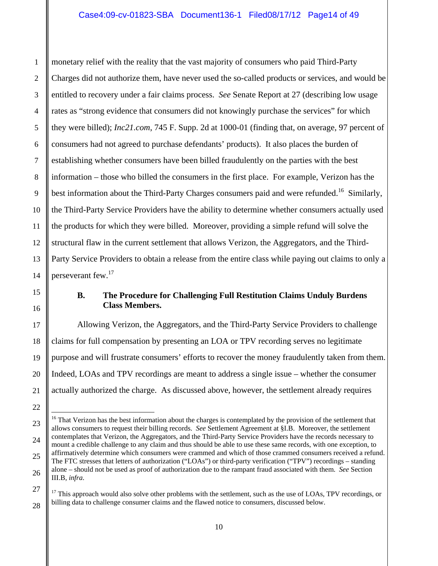monetary relief with the reality that the vast majority of consumers who paid Third-Party Charges did not authorize them, have never used the so-called products or services, and would be entitled to recovery under a fair claims process. *See* Senate Report at 27 (describing low usage rates as "strong evidence that consumers did not knowingly purchase the services" for which they were billed); *Inc21.com*, 745 F. Supp. 2d at 1000-01 (finding that, on average, 97 percent of consumers had not agreed to purchase defendants' products). It also places the burden of establishing whether consumers have been billed fraudulently on the parties with the best information – those who billed the consumers in the first place. For example, Verizon has the best information about the Third-Party Charges consumers paid and were refunded.<sup>16</sup> Similarly, the Third-Party Service Providers have the ability to determine whether consumers actually used the products for which they were billed. Moreover, providing a simple refund will solve the structural flaw in the current settlement that allows Verizon, the Aggregators, and the Third-Party Service Providers to obtain a release from the entire class while paying out claims to only a perseverant few.<sup>17</sup>

l

### **B. The Procedure for Challenging Full Restitution Claims Unduly Burdens Class Members.**

Allowing Verizon, the Aggregators, and the Third-Party Service Providers to challenge claims for full compensation by presenting an LOA or TPV recording serves no legitimate purpose and will frustrate consumers' efforts to recover the money fraudulently taken from them. Indeed, LOAs and TPV recordings are meant to address a single issue – whether the consumer actually authorized the charge. As discussed above, however, the settlement already requires

<sup>&</sup>lt;sup>16</sup> That Verizon has the best information about the charges is contemplated by the provision of the settlement that allows consumers to request their billing records. *See* Settlement Agreement at §I.B. Moreover, the settlement contemplates that Verizon, the Aggregators, and the Third-Party Service Providers have the records necessary to mount a credible challenge to any claim and thus should be able to use these same records, with one exception, to affirmatively determine which consumers were crammed and which of those crammed consumers received a refund. The FTC stresses that letters of authorization ("LOAs") or third-party verification ("TPV") recordings – standing alone – should not be used as proof of authorization due to the rampant fraud associated with them. *See* Section III.B, *infra*.

 $17$  This approach would also solve other problems with the settlement, such as the use of LOAs, TPV recordings, or billing data to challenge consumer claims and the flawed notice to consumers, discussed below.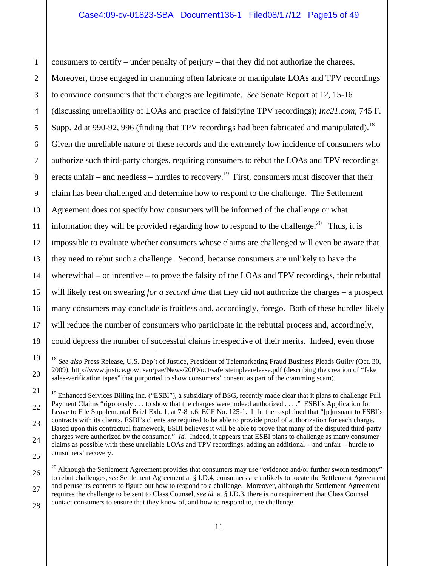consumers to certify – under penalty of perjury – that they did not authorize the charges. Moreover, those engaged in cramming often fabricate or manipulate LOAs and TPV recordings to convince consumers that their charges are legitimate. *See* Senate Report at 12, 15-16 (discussing unreliability of LOAs and practice of falsifying TPV recordings); *Inc21.com*, 745 F. Supp. 2d at 990-92, 996 (finding that TPV recordings had been fabricated and manipulated).<sup>18</sup> Given the unreliable nature of these records and the extremely low incidence of consumers who authorize such third-party charges, requiring consumers to rebut the LOAs and TPV recordings erects unfair – and needless – hurdles to recovery.<sup>19</sup> First, consumers must discover that their claim has been challenged and determine how to respond to the challenge. The Settlement Agreement does not specify how consumers will be informed of the challenge or what information they will be provided regarding how to respond to the challenge.<sup>20</sup> Thus, it is impossible to evaluate whether consumers whose claims are challenged will even be aware that they need to rebut such a challenge. Second, because consumers are unlikely to have the wherewithal – or incentive – to prove the falsity of the LOAs and TPV recordings, their rebuttal will likely rest on swearing *for a second time* that they did not authorize the charges – a prospect many consumers may conclude is fruitless and, accordingly, forego. Both of these hurdles likely will reduce the number of consumers who participate in the rebuttal process and, accordingly, could depress the number of successful claims irrespective of their merits. Indeed, even those  $\overline{\phantom{a}}$ 

<sup>&</sup>lt;sup>18</sup> See also Press Release, U.S. Dep't of Justice, President of Telemarketing Fraud Business Pleads Guilty (Oct. 30, 2009), http://www.justice.gov/usao/pae/News/2009/oct/safersteinplearelease.pdf (describing the creation of "fake sales-verification tapes" that purported to show consumers' consent as part of the cramming scam).

<sup>&</sup>lt;sup>19</sup> Enhanced Services Billing Inc. ("ESBI"), a subsidiary of BSG, recently made clear that it plans to challenge Full Payment Claims "rigorously . . . to show that the charges were indeed authorized . . . ." ESBI's Application for Leave to File Supplemental Brief Exh. 1, at 7-8 n.6, ECF No. 125-1. It further explained that "[p]ursuant to ESBI's contracts with its clients, ESBI's clients are required to be able to provide proof of authorization for each charge. Based upon this contractual framework, ESBI believes it will be able to prove that many of the disputed third-party charges were authorized by the consumer." *Id.* Indeed, it appears that ESBI plans to challenge as many consumer claims as possible with these unreliable LOAs and TPV recordings, adding an additional – and unfair – hurdle to consumers' recovery.

 $20$  Although the Settlement Agreement provides that consumers may use "evidence and/or further sworn testimony" to rebut challenges, *see* Settlement Agreement at § I.D.4, consumers are unlikely to locate the Settlement Agreement and peruse its contents to figure out how to respond to a challenge. Moreover, although the Settlement Agreement requires the challenge to be sent to Class Counsel, *see id.* at § I.D.3, there is no requirement that Class Counsel contact consumers to ensure that they know of, and how to respond to, the challenge.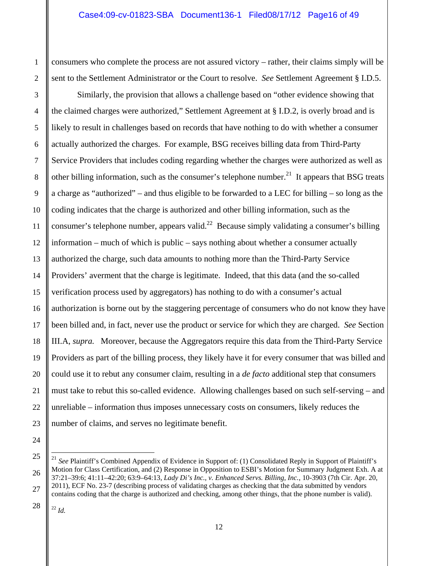consumers who complete the process are not assured victory – rather, their claims simply will be sent to the Settlement Administrator or the Court to resolve. *See* Settlement Agreement § I.D.5.

Similarly, the provision that allows a challenge based on "other evidence showing that the claimed charges were authorized," Settlement Agreement at § I.D.2, is overly broad and is likely to result in challenges based on records that have nothing to do with whether a consumer actually authorized the charges. For example, BSG receives billing data from Third-Party Service Providers that includes coding regarding whether the charges were authorized as well as other billing information, such as the consumer's telephone number. $^{21}$  It appears that BSG treats a charge as "authorized" – and thus eligible to be forwarded to a LEC for billing – so long as the coding indicates that the charge is authorized and other billing information, such as the consumer's telephone number, appears valid.<sup>22</sup> Because simply validating a consumer's billing information – much of which is public – says nothing about whether a consumer actually authorized the charge, such data amounts to nothing more than the Third-Party Service Providers' averment that the charge is legitimate. Indeed, that this data (and the so-called verification process used by aggregators) has nothing to do with a consumer's actual authorization is borne out by the staggering percentage of consumers who do not know they have been billed and, in fact, never use the product or service for which they are charged. *See* Section III.A, *supra.* Moreover, because the Aggregators require this data from the Third-Party Service Providers as part of the billing process, they likely have it for every consumer that was billed and could use it to rebut any consumer claim, resulting in a *de facto* additional step that consumers must take to rebut this so-called evidence. Allowing challenges based on such self-serving – and unreliable – information thus imposes unnecessary costs on consumers, likely reduces the number of claims, and serves no legitimate benefit.

 28 <sup>22</sup> *Id.*

 $\overline{\phantom{a}}$ 

1

2

3

4

5

6

7

8

9

10

11

12

13

14

15

16

17

18

19

20

21

22

23

 <sup>25</sup>  26 27 <sup>21</sup> See Plaintiff's Combined Appendix of Evidence in Support of: (1) Consolidated Reply in Support of Plaintiff's Motion for Class Certification, and (2) Response in Opposition to ESBI's Motion for Summary Judgment Exh. A at 37:21–39:6; 41:11–42:20; 63:9–64:13*, Lady Di's Inc., v. Enhanced Servs. Billing, Inc.*, 10-3903 (7th Cir. Apr. 20, 2011), ECF No. 23-7 (describing process of validating charges as checking that the data submitted by vendors contains coding that the charge is authorized and checking, among other things, that the phone number is valid).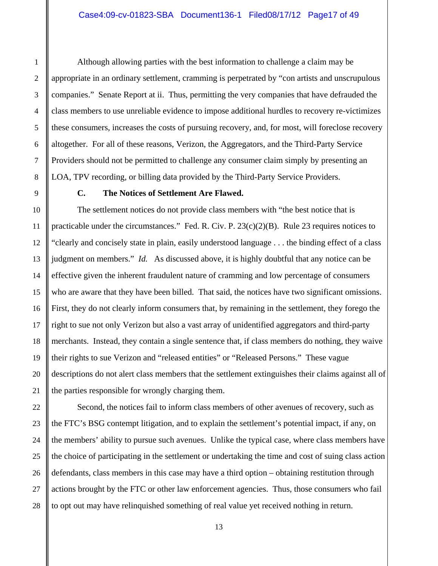Although allowing parties with the best information to challenge a claim may be appropriate in an ordinary settlement, cramming is perpetrated by "con artists and unscrupulous companies." Senate Report at ii. Thus, permitting the very companies that have defrauded the class members to use unreliable evidence to impose additional hurdles to recovery re-victimizes these consumers, increases the costs of pursuing recovery, and, for most, will foreclose recovery altogether. For all of these reasons, Verizon, the Aggregators, and the Third-Party Service Providers should not be permitted to challenge any consumer claim simply by presenting an LOA, TPV recording, or billing data provided by the Third-Party Service Providers.

1

#### **C. The Notices of Settlement Are Flawed.**

The settlement notices do not provide class members with "the best notice that is practicable under the circumstances." Fed. R. Civ. P. 23(c)(2)(B). Rule 23 requires notices to "clearly and concisely state in plain, easily understood language . . . the binding effect of a class judgment on members." *Id.* As discussed above, it is highly doubtful that any notice can be effective given the inherent fraudulent nature of cramming and low percentage of consumers who are aware that they have been billed. That said, the notices have two significant omissions. First, they do not clearly inform consumers that, by remaining in the settlement, they forego the right to sue not only Verizon but also a vast array of unidentified aggregators and third-party merchants. Instead, they contain a single sentence that, if class members do nothing, they waive their rights to sue Verizon and "released entities" or "Released Persons." These vague descriptions do not alert class members that the settlement extinguishes their claims against all of the parties responsible for wrongly charging them.

Second, the notices fail to inform class members of other avenues of recovery, such as the FTC's BSG contempt litigation, and to explain the settlement's potential impact, if any, on the members' ability to pursue such avenues. Unlike the typical case, where class members have the choice of participating in the settlement or undertaking the time and cost of suing class action defendants, class members in this case may have a third option – obtaining restitution through actions brought by the FTC or other law enforcement agencies. Thus, those consumers who fail to opt out may have relinquished something of real value yet received nothing in return.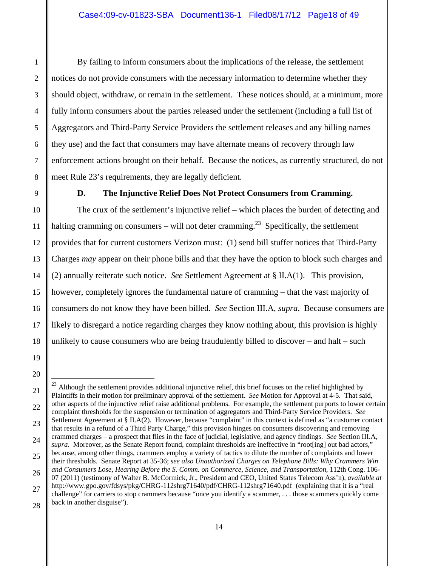By failing to inform consumers about the implications of the release, the settlement notices do not provide consumers with the necessary information to determine whether they should object, withdraw, or remain in the settlement. These notices should, at a minimum, more fully inform consumers about the parties released under the settlement (including a full list of Aggregators and Third-Party Service Providers the settlement releases and any billing names they use) and the fact that consumers may have alternate means of recovery through law enforcement actions brought on their behalf. Because the notices, as currently structured, do not meet Rule 23's requirements, they are legally deficient.

#### **D. The Injunctive Relief Does Not Protect Consumers from Cramming.**

The crux of the settlement's injunctive relief – which places the burden of detecting and halting cramming on consumers – will not deter cramming.<sup>23</sup> Specifically, the settlement provides that for current customers Verizon must: (1) send bill stuffer notices that Third-Party Charges *may* appear on their phone bills and that they have the option to block such charges and (2) annually reiterate such notice. *See* Settlement Agreement at § II.A(1). This provision, however, completely ignores the fundamental nature of cramming – that the vast majority of consumers do not know they have been billed. *See* Section III.A, *supra*. Because consumers are likely to disregard a notice regarding charges they know nothing about, this provision is highly unlikely to cause consumers who are being fraudulently billed to discover – and halt – such

l  $23$  Although the settlement provides additional injunctive relief, this brief focuses on the relief highlighted by Plaintiffs in their motion for preliminary approval of the settlement. *See* Motion for Approval at 4-5. That said, other aspects of the injunctive relief raise additional problems. For example, the settlement purports to lower certain complaint thresholds for the suspension or termination of aggregators and Third-Party Service Providers. *See* Settlement Agreement at § II.A(2). However, because "complaint" in this context is defined as "a customer contact that results in a refund of a Third Party Charge," this provision hinges on consumers discovering and removing crammed charges – a prospect that flies in the face of judicial, legislative, and agency findings. *See* Section III.A, *supra*. Moreover, as the Senate Report found, complaint thresholds are ineffective in "root[ing] out bad actors," because, among other things, crammers employ a variety of tactics to dilute the number of complaints and lower their thresholds. Senate Report at 35-36; *see also Unauthorized Charges on Telephone Bills: Why Crammers Win and Consumers Lose, Hearing Before the S. Comm. on Commerce, Science, and Transportation*, 112th Cong. 106- 07 (2011) (testimony of Walter B. McCormick, Jr., President and CEO, United States Telecom Ass'n), *available at* http://www.gpo.gov/fdsys/pkg/CHRG-112shrg71640/pdf/CHRG-112shrg71640.pdf (explaining that it is a "real challenge" for carriers to stop crammers because "once you identify a scammer, . . . those scammers quickly come back in another disguise").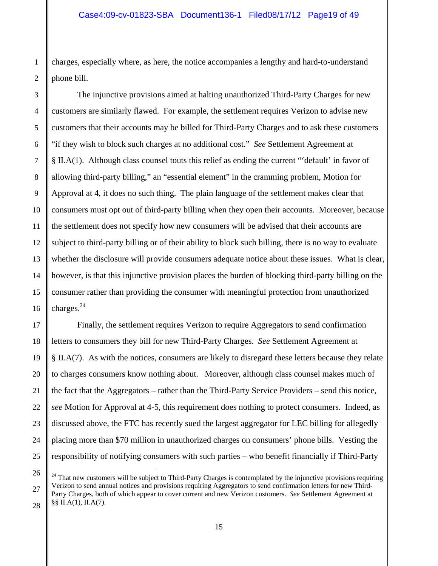charges, especially where, as here, the notice accompanies a lengthy and hard-to-understand phone bill.

The injunctive provisions aimed at halting unauthorized Third-Party Charges for new customers are similarly flawed. For example, the settlement requires Verizon to advise new customers that their accounts may be billed for Third-Party Charges and to ask these customers "if they wish to block such charges at no additional cost." *See* Settlement Agreement at § II.A(1). Although class counsel touts this relief as ending the current "'default' in favor of allowing third-party billing," an "essential element" in the cramming problem, Motion for Approval at 4, it does no such thing. The plain language of the settlement makes clear that consumers must opt out of third-party billing when they open their accounts. Moreover, because the settlement does not specify how new consumers will be advised that their accounts are subject to third-party billing or of their ability to block such billing, there is no way to evaluate whether the disclosure will provide consumers adequate notice about these issues. What is clear, however, is that this injunctive provision places the burden of blocking third-party billing on the consumer rather than providing the consumer with meaningful protection from unauthorized charges.24

Finally, the settlement requires Verizon to require Aggregators to send confirmation letters to consumers they bill for new Third-Party Charges. *See* Settlement Agreement at § II.A(7). As with the notices, consumers are likely to disregard these letters because they relate to charges consumers know nothing about. Moreover, although class counsel makes much of the fact that the Aggregators – rather than the Third-Party Service Providers – send this notice, *see* Motion for Approval at 4-5, this requirement does nothing to protect consumers. Indeed, as discussed above, the FTC has recently sued the largest aggregator for LEC billing for allegedly placing more than \$70 million in unauthorized charges on consumers' phone bills. Vesting the responsibility of notifying consumers with such parties – who benefit financially if Third-Party

 $24$  That new customers will be subject to Third-Party Charges is contemplated by the injunctive provisions requiring Verizon to send annual notices and provisions requiring Aggregators to send confirmation letters for new Third-Party Charges, both of which appear to cover current and new Verizon customers. *See* Settlement Agreement at §§ II.A(1), II.A(7).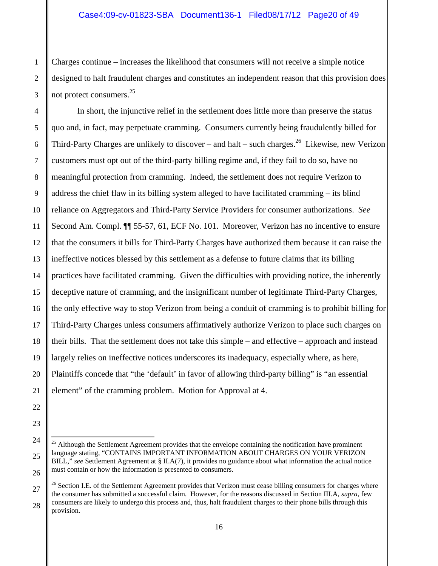Charges continue – increases the likelihood that consumers will not receive a simple notice designed to halt fraudulent charges and constitutes an independent reason that this provision does not protect consumers.25

In short, the injunctive relief in the settlement does little more than preserve the status quo and, in fact, may perpetuate cramming. Consumers currently being fraudulently billed for Third-Party Charges are unlikely to discover – and halt – such charges.<sup>26</sup> Likewise, new Verizon customers must opt out of the third-party billing regime and, if they fail to do so, have no meaningful protection from cramming. Indeed, the settlement does not require Verizon to address the chief flaw in its billing system alleged to have facilitated cramming – its blind reliance on Aggregators and Third-Party Service Providers for consumer authorizations. *See*  Second Am. Compl. ¶¶ 55-57, 61, ECF No. 101. Moreover, Verizon has no incentive to ensure that the consumers it bills for Third-Party Charges have authorized them because it can raise the ineffective notices blessed by this settlement as a defense to future claims that its billing practices have facilitated cramming. Given the difficulties with providing notice, the inherently deceptive nature of cramming, and the insignificant number of legitimate Third-Party Charges, the only effective way to stop Verizon from being a conduit of cramming is to prohibit billing for Third-Party Charges unless consumers affirmatively authorize Verizon to place such charges on their bills. That the settlement does not take this simple – and effective – approach and instead largely relies on ineffective notices underscores its inadequacy, especially where, as here, Plaintiffs concede that "the 'default' in favor of allowing third-party billing" is "an essential element" of the cramming problem. Motion for Approval at 4.

 $25$  Although the Settlement Agreement provides that the envelope containing the notification have prominent language stating, "CONTAINS IMPORTANT INFORMATION ABOUT CHARGES ON YOUR VERIZON BILL," see Settlement Agreement at § II.A(7), it provides no guidance about what information the actual notice must contain or how the information is presented to consumers.

 $^{26}$  Section I.E. of the Settlement Agreement provides that Verizon must cease billing consumers for charges where the consumer has submitted a successful claim. However, for the reasons discussed in Section III.A, *supra*, few consumers are likely to undergo this process and, thus, halt fraudulent charges to their phone bills through this provision.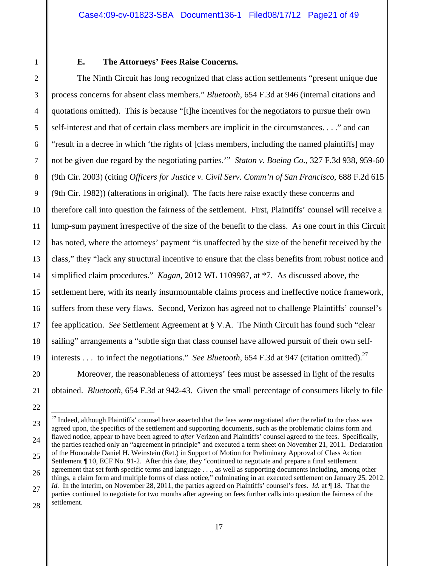#### **E. The Attorneys' Fees Raise Concerns.**

The Ninth Circuit has long recognized that class action settlements "present unique due process concerns for absent class members." *Bluetooth*, 654 F.3d at 946 (internal citations and quotations omitted). This is because "[t]he incentives for the negotiators to pursue their own self-interest and that of certain class members are implicit in the circumstances. . . ." and can "result in a decree in which 'the rights of [class members, including the named plaintiffs] may not be given due regard by the negotiating parties.'" *Staton v. Boeing Co.*, 327 F.3d 938, 959-60 (9th Cir. 2003) (citing *Officers for Justice v. Civil Serv. Comm'n of San Francisco*, 688 F.2d 615 (9th Cir. 1982)) (alterations in original). The facts here raise exactly these concerns and therefore call into question the fairness of the settlement. First, Plaintiffs' counsel will receive a lump-sum payment irrespective of the size of the benefit to the class. As one court in this Circuit has noted, where the attorneys' payment "is unaffected by the size of the benefit received by the class," they "lack any structural incentive to ensure that the class benefits from robust notice and simplified claim procedures." *Kagan*, 2012 WL 1109987, at \*7. As discussed above, the settlement here, with its nearly insurmountable claims process and ineffective notice framework, suffers from these very flaws. Second, Verizon has agreed not to challenge Plaintiffs' counsel's fee application. *See* Settlement Agreement at § V.A. The Ninth Circuit has found such "clear sailing" arrangements a "subtle sign that class counsel have allowed pursuit of their own selfinterests . . . to infect the negotiations." *See Bluetooth*, 654 F.3d at 947 (citation omitted).<sup>27</sup>

Moreover, the reasonableness of attorneys' fees must be assessed in light of the results obtained. *Bluetooth*, 654 F.3d at 942-43. Given the small percentage of consumers likely to file

<sup>&</sup>lt;sup>27</sup> Indeed, although Plaintiffs' counsel have asserted that the fees were negotiated after the relief to the class was agreed upon, the specifics of the settlement and supporting documents, such as the problematic claims form and flawed notice, appear to have been agreed to *after* Verizon and Plaintiffs' counsel agreed to the fees. Specifically, the parties reached only an "agreement in principle" and executed a term sheet on November 21, 2011. Declaration of the Honorable Daniel H. Weinstein (Ret.) in Support of Motion for Preliminary Approval of Class Action Settlement ¶ 10, ECF No. 91-2. After this date, they "continued to negotiate and prepare a final settlement agreement that set forth specific terms and language . . ., as well as supporting documents including, among other things, a claim form and multiple forms of class notice," culminating in an executed settlement on January 25, 2012. *Id.* In the interim, on November 28, 2011, the parties agreed on Plaintiffs' counsel's fees. *Id.* at ¶ 18. That the parties continued to negotiate for two months after agreeing on fees further calls into question the fairness of the settlement.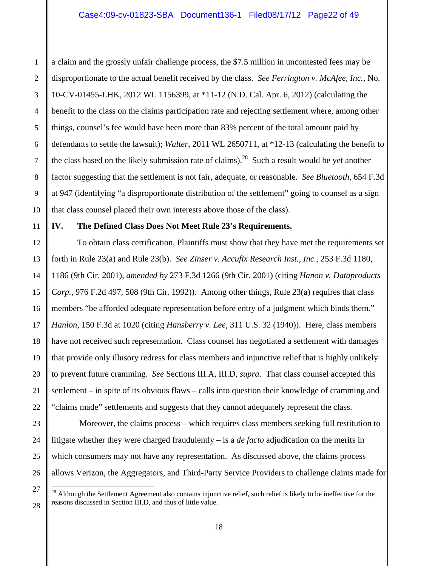a claim and the grossly unfair challenge process, the \$7.5 million in uncontested fees may be disproportionate to the actual benefit received by the class. *See Ferrington v. McAfee, Inc.*, No. 10-CV-01455-LHK, 2012 WL 1156399, at \*11-12 (N.D. Cal. Apr. 6, 2012) (calculating the benefit to the class on the claims participation rate and rejecting settlement where, among other things, counsel's fee would have been more than 83% percent of the total amount paid by defendants to settle the lawsuit); *Walter*, 2011 WL 2650711, at \*12-13 (calculating the benefit to the class based on the likely submission rate of claims).<sup>28</sup> Such a result would be yet another factor suggesting that the settlement is not fair, adequate, or reasonable. *See Bluetooth*, 654 F.3d at 947 (identifying "a disproportionate distribution of the settlement" going to counsel as a sign that class counsel placed their own interests above those of the class).

### **IV. The Defined Class Does Not Meet Rule 23's Requirements.**

To obtain class certification, Plaintiffs must show that they have met the requirements set forth in Rule 23(a) and Rule 23(b). *See Zinser v. Accufix Research Inst., Inc.*, 253 F.3d 1180, 1186 (9th Cir. 2001), *amended by* 273 F.3d 1266 (9th Cir. 2001) (citing *Hanon v. Dataproducts Corp.*, 976 F.2d 497, 508 (9th Cir. 1992)). Among other things, Rule 23(a) requires that class members "be afforded adequate representation before entry of a judgment which binds them." *Hanlon*, 150 F.3d at 1020 (citing *Hansberry v. Lee*, 311 U.S. 32 (1940)). Here, class members have not received such representation. Class counsel has negotiated a settlement with damages that provide only illusory redress for class members and injunctive relief that is highly unlikely to prevent future cramming. *See* Sections III.A, III.D, *supra*. That class counsel accepted this settlement – in spite of its obvious flaws – calls into question their knowledge of cramming and "claims made" settlements and suggests that they cannot adequately represent the class.

 Moreover, the claims process – which requires class members seeking full restitution to litigate whether they were charged fraudulently – is a *de facto* adjudication on the merits in which consumers may not have any representation. As discussed above, the claims process allows Verizon, the Aggregators, and Third-Party Service Providers to challenge claims made for

 $28$  Although the Settlement Agreement also contains injunctive relief, such relief is likely to be ineffective for the reasons discussed in Section III.D, and thus of little value.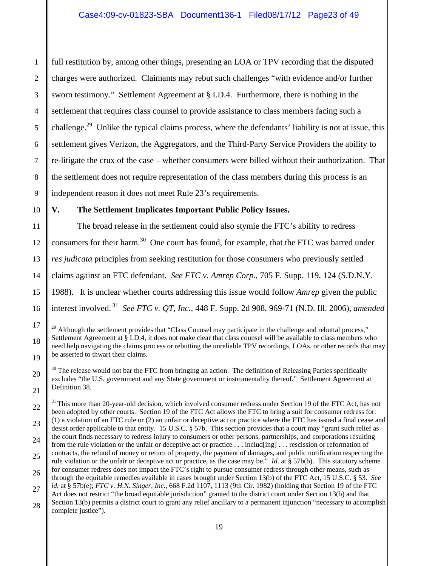full restitution by, among other things, presenting an LOA or TPV recording that the disputed charges were authorized. Claimants may rebut such challenges "with evidence and/or further sworn testimony." Settlement Agreement at § I.D.4. Furthermore, there is nothing in the settlement that requires class counsel to provide assistance to class members facing such a challenge.<sup>29</sup> Unlike the typical claims process, where the defendants' liability is not at issue, this settlement gives Verizon, the Aggregators, and the Third-Party Service Providers the ability to re-litigate the crux of the case – whether consumers were billed without their authorization. That the settlement does not require representation of the class members during this process is an independent reason it does not meet Rule 23's requirements.

#### **V. The Settlement Implicates Important Public Policy Issues.**

The broad release in the settlement could also stymie the FTC's ability to redress consumers for their harm.<sup>30</sup> One court has found, for example, that the FTC was barred under *res judicata* principles from seeking restitution for those consumers who previously settled claims against an FTC defendant. *See FTC v. Amrep Corp.*, 705 F. Supp. 119, 124 (S.D.N.Y. 1988). It is unclear whether courts addressing this issue would follow *Amrep* given the public interest involved. 31 *See FTC v. QT, Inc.*, 448 F. Supp. 2d 908, 969-71 (N.D. Ill. 2006), *amended* 

<sup>&</sup>lt;sup>29</sup> Although the settlement provides that "Class Counsel may participate in the challenge and rebuttal process," Settlement Agreement at § I.D.4, it does not make clear that class counsel will be available to class members who need help navigating the claims process or rebutting the unreliable TPV recordings, LOAs, or other records that may be asserted to thwart their claims.

 $30$  The release would not bar the FTC from bringing an action. The definition of Releasing Parties specifically excludes "the U.S. government and any State government or instrumentality thereof." Settlement Agreement at Definition 38.

<sup>&</sup>lt;sup>31</sup> This more than 20-year-old decision, which involved consumer redress under Section 19 of the FTC Act, has not been adopted by other courts. Section 19 of the FTC Act allows the FTC to bring a suit for consumer redress for: (1) a violation of an FTC rule or (2) an unfair or deceptive act or practice where the FTC has issued a final cease and desist order applicable to that entity. 15 U.S.C. § 57b. This section provides that a court may "grant such relief as the court finds necessary to redress injury to consumers or other persons, partnerships, and corporations resulting from the rule violation or the unfair or deceptive act or practice . . . includ[ing] . . . rescission or reformation of contracts, the refund of money or return of property, the payment of damages, and public notification respecting the rule violation or the unfair or deceptive act or practice, as the case may be." *Id.* at § 57b(b). This statutory scheme for consumer redress does not impact the FTC's right to pursue consumer redress through other means, such as through the equitable remedies available in cases brought under Section 13(b) of the FTC Act, 15 U.S.C. § 53. *See id.* at § 57b(e); *FTC v. H.N. Singer, Inc.*, 668 F.2d 1107, 1113 (9th Cir. 1982) (holding that Section 19 of the FTC Act does not restrict "the broad equitable jurisdiction" granted to the district court under Section 13(b) and that

Section 13(b) permits a district court to grant any relief ancillary to a permanent injunction "necessary to accomplish complete justice").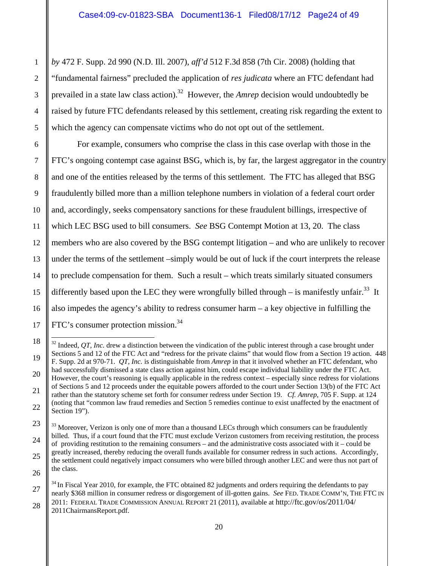*by* 472 F. Supp. 2d 990 (N.D. Ill. 2007), *aff'd* 512 F.3d 858 (7th Cir. 2008) (holding that "fundamental fairness" precluded the application of *res judicata* where an FTC defendant had prevailed in a state law class action).<sup>32</sup> However, the *Amrep* decision would undoubtedly be raised by future FTC defendants released by this settlement, creating risk regarding the extent to which the agency can compensate victims who do not opt out of the settlement.

For example, consumers who comprise the class in this case overlap with those in the FTC's ongoing contempt case against BSG, which is, by far, the largest aggregator in the country and one of the entities released by the terms of this settlement. The FTC has alleged that BSG fraudulently billed more than a million telephone numbers in violation of a federal court order and, accordingly, seeks compensatory sanctions for these fraudulent billings, irrespective of which LEC BSG used to bill consumers. *See* BSG Contempt Motion at 13, 20. The class members who are also covered by the BSG contempt litigation – and who are unlikely to recover under the terms of the settlement –simply would be out of luck if the court interprets the release to preclude compensation for them. Such a result – which treats similarly situated consumers differently based upon the LEC they were wrongfully billed through – is manifestly unfair.<sup>33</sup> It also impedes the agency's ability to redress consumer harm – a key objective in fulfilling the FTC's consumer protection mission.<sup>34</sup>

l  $32$  Indeed, QT, Inc. drew a distinction between the vindication of the public interest through a case brought under Sections 5 and 12 of the FTC Act and "redress for the private claims" that would flow from a Section 19 action. 448 F. Supp. 2d at 970-71. *QT, Inc.* is distinguishable from *Amrep* in that it involved whether an FTC defendant, who had successfully dismissed a state class action against him, could escape individual liability under the FTC Act. However, the court's reasoning is equally applicable in the redress context – especially since redress for violations of Sections 5 and 12 proceeds under the equitable powers afforded to the court under Section 13(b) of the FTC Act rather than the statutory scheme set forth for consumer redress under Section 19. *Cf. Amrep*, 705 F. Supp. at 124 (noting that "common law fraud remedies and Section 5 remedies continue to exist unaffected by the enactment of Section 19").

<sup>&</sup>lt;sup>33</sup> Moreover, Verizon is only one of more than a thousand LECs through which consumers can be fraudulently billed. Thus, if a court found that the FTC must exclude Verizon customers from receiving restitution, the process of providing restitution to the remaining consumers – and the administrative costs associated with it – could be greatly increased, thereby reducing the overall funds available for consumer redress in such actions. Accordingly, the settlement could negatively impact consumers who were billed through another LEC and were thus not part of the class.

 $34$  In Fiscal Year 2010, for example, the FTC obtained 82 judgments and orders requiring the defendants to pay nearly \$368 million in consumer redress or disgorgement of ill-gotten gains. *See* FED. TRADE COMM'N, THE FTC IN 2011: FEDERAL TRADE COMMISSION ANNUAL REPORT 21 (2011), available at http://ftc.gov/os/2011/04/ 2011ChairmansReport.pdf.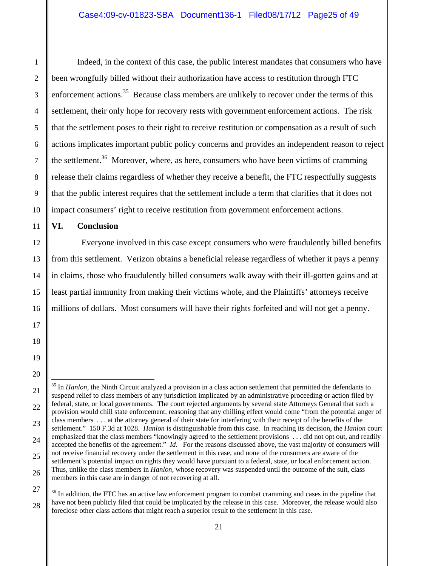Indeed, in the context of this case, the public interest mandates that consumers who have been wrongfully billed without their authorization have access to restitution through FTC enforcement actions.<sup>35</sup> Because class members are unlikely to recover under the terms of this settlement, their only hope for recovery rests with government enforcement actions. The risk that the settlement poses to their right to receive restitution or compensation as a result of such actions implicates important public policy concerns and provides an independent reason to reject the settlement.<sup>36</sup> Moreover, where, as here, consumers who have been victims of cramming release their claims regardless of whether they receive a benefit, the FTC respectfully suggests that the public interest requires that the settlement include a term that clarifies that it does not impact consumers' right to receive restitution from government enforcement actions.

**VI. Conclusion** 

 Everyone involved in this case except consumers who were fraudulently billed benefits from this settlement. Verizon obtains a beneficial release regardless of whether it pays a penny in claims, those who fraudulently billed consumers walk away with their ill-gotten gains and at least partial immunity from making their victims whole, and the Plaintiffs' attorneys receive millions of dollars. Most consumers will have their rights forfeited and will not get a penny.

l 35 In *Hanlon,* the Ninth Circuit analyzed a provision in a class action settlement that permitted the defendants to suspend relief to class members of any jurisdiction implicated by an administrative proceeding or action filed by federal, state, or local governments. The court rejected arguments by several state Attorneys General that such a provision would chill state enforcement, reasoning that any chilling effect would come "from the potential anger of class members . . . at the attorney general of their state for interfering with their receipt of the benefits of the settlement." 150 F.3d at 1028. *Hanlon* is distinguishable from this case. In reaching its decision, the *Hanlon* court emphasized that the class members "knowingly agreed to the settlement provisions . . . did not opt out, and readily accepted the benefits of the agreement." *Id*. For the reasons discussed above, the vast majority of consumers will not receive financial recovery under the settlement in this case, and none of the consumers are aware of the settlement's potential impact on rights they would have pursuant to a federal, state, or local enforcement action. Thus, unlike the class members in *Hanlon,* whose recovery was suspended until the outcome of the suit, class members in this case are in danger of not recovering at all.

<sup>&</sup>lt;sup>36</sup> In addition, the FTC has an active law enforcement program to combat cramming and cases in the pipeline that have not been publicly filed that could be implicated by the release in this case. Moreover, the release would also foreclose other class actions that might reach a superior result to the settlement in this case.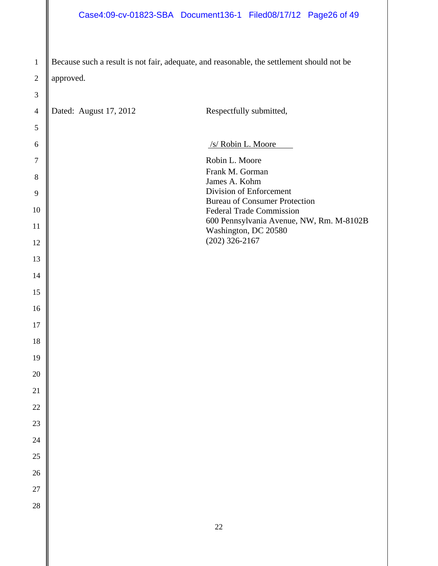## Case4:09-cv-01823-SBA Document136-1 Filed08/17/12 Page26 of 49

 Because such a result is not fair, adequate, and reasonable, the settlement should not be approved.

| $\overline{4}$ | Dated: August 17, 2012 | Respectfully submitted,                                                 |
|----------------|------------------------|-------------------------------------------------------------------------|
| $\mathfrak s$  |                        |                                                                         |
| 6              |                        | /s/ Robin L. Moore                                                      |
| $\tau$         |                        | Robin L. Moore                                                          |
| $8\,$          |                        | Frank M. Gorman<br>James A. Kohm                                        |
| 9              |                        | Division of Enforcement                                                 |
| 10             |                        | <b>Bureau of Consumer Protection</b><br><b>Federal Trade Commission</b> |
| 11             |                        | 600 Pennsylvania Avenue, NW, Rm. M-8102B<br>Washington, DC 20580        |
| 12             |                        | $(202)$ 326-2167                                                        |
| 13             |                        |                                                                         |
| 14             |                        |                                                                         |
| 15             |                        |                                                                         |
| 16             |                        |                                                                         |
| 17             |                        |                                                                         |
| 18             |                        |                                                                         |
| 19             |                        |                                                                         |
| 20             |                        |                                                                         |
| 21             |                        |                                                                         |
| 22             |                        |                                                                         |
| $23\,$         |                        |                                                                         |
| 24             |                        |                                                                         |
| 25             |                        |                                                                         |
| 26             |                        |                                                                         |
| 27             |                        |                                                                         |
| 28             |                        |                                                                         |
|                |                        | $22\,$                                                                  |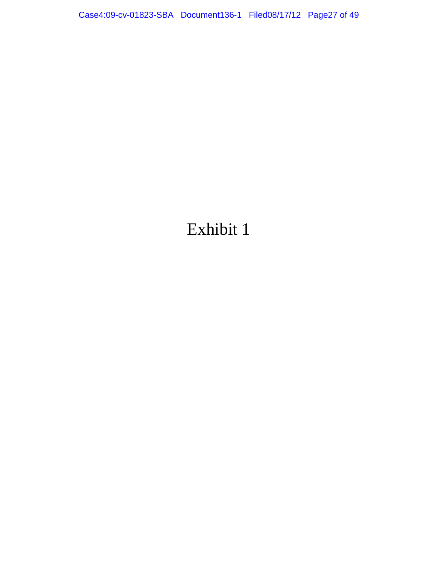# Exhibit 1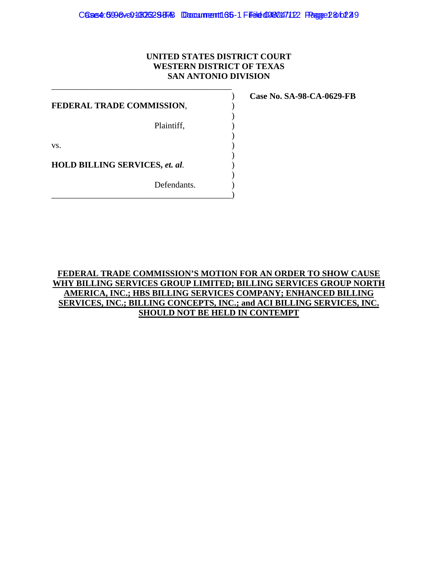#### **UNITED STATES DISTRICT COURT WESTERN DISTRICT OF TEXAS SAN ANTONIO DIVISION**

**FEDERAL TRADE COMMISSION,**  $\qquad$ **)** 

\_\_\_\_\_\_\_\_\_\_\_\_\_\_\_\_\_\_\_\_\_\_\_\_\_\_\_\_\_\_\_\_\_\_\_\_\_\_\_\_\_\_ )

 $)$ 

 $)$ 

 $)$ 

 $)$ 

Plaintiff,  $\qquad \qquad$ )

 $\mathbf{v}\mathbf{s}$ .

**HOLD BILLING SERVICES,** *et. al.* )

Defendants. \_\_\_\_\_\_\_\_\_\_\_\_\_\_\_\_\_\_\_\_\_\_\_\_\_\_\_\_\_\_\_\_\_\_\_\_\_\_\_\_\_\_) **Case No. SA-98-CA-0629-FB** 

**FEDERAL TRADE COMMISSION'S MOTION FOR AN ORDER TO SHOW CAUSE WHY BILLING SERVICES GROUP LIMITED; BILLING SERVICES GROUP NORTH AMERICA, INC.; HBS BILLING SERVICES COMPANY; ENHANCED BILLING SERVICES, INC.; BILLING CONCEPTS, INC.; and ACI BILLING SERVICES, INC. SHOULD NOT BE HELD IN CONTEMPT**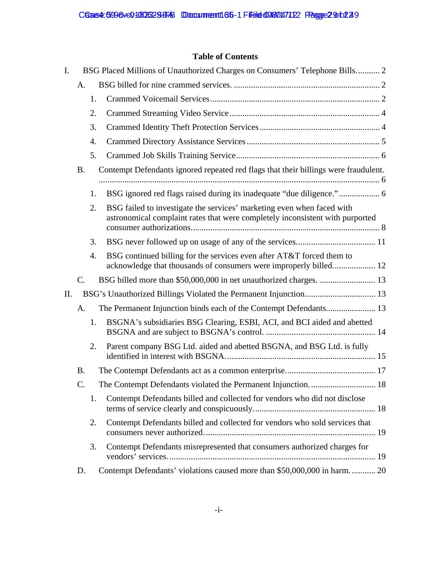### **Table of Contents**

| I. |                 |    | BSG Placed Millions of Unauthorized Charges on Consumers' Telephone Bills 2                                                                             |
|----|-----------------|----|---------------------------------------------------------------------------------------------------------------------------------------------------------|
|    | A.              |    |                                                                                                                                                         |
|    |                 | 1. |                                                                                                                                                         |
|    |                 | 2. |                                                                                                                                                         |
|    |                 | 3. |                                                                                                                                                         |
|    |                 | 4. |                                                                                                                                                         |
|    |                 | 5. |                                                                                                                                                         |
|    | <b>B.</b>       |    | Contempt Defendants ignored repeated red flags that their billings were fraudulent.                                                                     |
|    |                 | 1. |                                                                                                                                                         |
|    |                 | 2. | BSG failed to investigate the services' marketing even when faced with<br>astronomical complaint rates that were completely inconsistent with purported |
|    |                 | 3. |                                                                                                                                                         |
|    |                 | 4. | BSG continued billing for the services even after AT&T forced them to                                                                                   |
|    | $\mathcal{C}$ . |    |                                                                                                                                                         |
| Η. |                 |    | BSG's Unauthorized Billings Violated the Permanent Injunction 13                                                                                        |
|    | А.              |    |                                                                                                                                                         |
|    |                 | 1. | BSGNA's subsidiaries BSG Clearing, ESBI, ACI, and BCI aided and abetted                                                                                 |
|    |                 | 2. | Parent company BSG Ltd. aided and abetted BSGNA, and BSG Ltd. is fully                                                                                  |
|    | <b>B.</b>       |    |                                                                                                                                                         |
|    | C.              |    | The Contempt Defendants violated the Permanent Injunction.  18                                                                                          |
|    |                 | 1. | Contempt Defendants billed and collected for vendors who did not disclose                                                                               |
|    |                 | 2. | Contempt Defendants billed and collected for vendors who sold services that                                                                             |
|    |                 | 3. | Contempt Defendants misrepresented that consumers authorized charges for                                                                                |
|    | D.              |    | Contempt Defendants' violations caused more than \$50,000,000 in harm.  20                                                                              |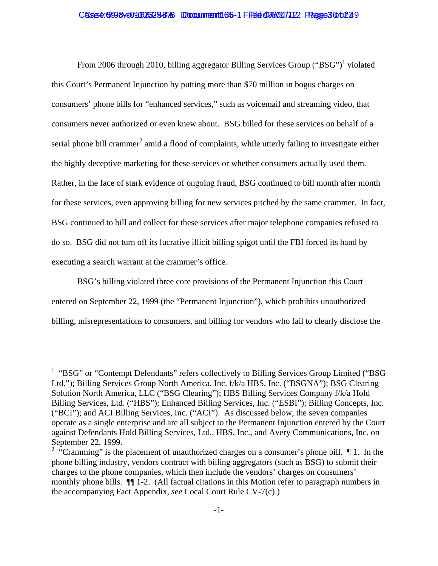#### Cases4:0998ve01080623BFAB Doccummentt165-1 Filedet0080047122 Peagee3 0602249

From 2006 through 2010, billing aggregator Billing Services Group ("BSG")<sup>1</sup> violated this Court's Permanent Injunction by putting more than \$70 million in bogus charges on consumers' phone bills for "enhanced services," such as voicemail and streaming video, that consumers never authorized or even knew about. BSG billed for these services on behalf of a serial phone bill crammer<sup>2</sup> amid a flood of complaints, while utterly failing to investigate either the highly deceptive marketing for these services or whether consumers actually used them. Rather, in the face of stark evidence of ongoing fraud, BSG continued to bill month after month for these services, even approving billing for new services pitched by the same crammer. In fact, BSG continued to bill and collect for these services after major telephone companies refused to do so. BSG did not turn off its lucrative illicit billing spigot until the FBI forced its hand by executing a search warrant at the crammer's office.

BSG's billing violated three core provisions of the Permanent Injunction this Court entered on September 22, 1999 (the "Permanent Injunction"), which prohibits unauthorized billing, misrepresentations to consumers, and billing for vendors who fail to clearly disclose the

 $\overline{\phantom{a}}$ 

<sup>&</sup>lt;sup>1</sup> "BSG" or "Contempt Defendants" refers collectively to Billing Services Group Limited ("BSG Ltd."); Billing Services Group North America, Inc. f/k/a HBS, Inc. ("BSGNA"); BSG Clearing Solution North America, LLC ("BSG Clearing"); HBS Billing Services Company f/k/a Hold Billing Services, Ltd. ("HBS"); Enhanced Billing Services, Inc. ("ESBI"); Billing Concepts, Inc. ("BCI"); and ACI Billing Services, Inc. ("ACI"). As discussed below, the seven companies operate as a single enterprise and are all subject to the Permanent Injunction entered by the Court against Defendants Hold Billing Services, Ltd., HBS, Inc., and Avery Communications, Inc. on September 22, 1999.

<sup>&</sup>lt;sup>2</sup> "Cramming" is the placement of unauthorized charges on a consumer's phone bill.  $\P$ 1. In the phone billing industry, vendors contract with billing aggregators (such as BSG) to submit their charges to the phone companies, which then include the vendors' charges on consumers' monthly phone bills. ¶¶ 1-2. (All factual citations in this Motion refer to paragraph numbers in the accompanying Fact Appendix, *see* Local Court Rule CV-7(c).)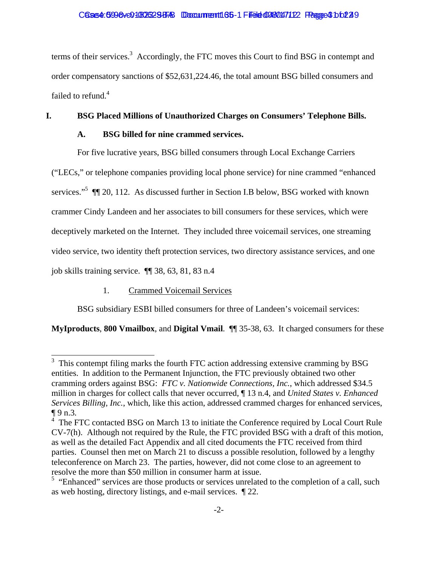terms of their services.<sup>3</sup> Accordingly, the FTC moves this Court to find BSG in contempt and order compensatory sanctions of \$52,631,224.46, the total amount BSG billed consumers and failed to refund.<sup>4</sup>

### **I. BSG Placed Millions of Unauthorized Charges on Consumers' Telephone Bills.**

### **A. BSG billed for nine crammed services.**

For five lucrative years, BSG billed consumers through Local Exchange Carriers

("LECs," or telephone companies providing local phone service) for nine crammed "enhanced

services."<sup>5</sup> II 20, 112. As discussed further in Section I.B below, BSG worked with known

crammer Cindy Landeen and her associates to bill consumers for these services, which were

deceptively marketed on the Internet. They included three voicemail services, one streaming

video service, two identity theft protection services, two directory assistance services, and one

job skills training service. ¶¶ 38, 63, 81, 83 n.4

### 1. Crammed Voicemail Services

BSG subsidiary ESBI billed consumers for three of Landeen's voicemail services:

**MyIproducts**, **800 Vmailbox**, and **Digital Vmail**. ¶¶ 35-38, 63. It charged consumers for these

<sup>&</sup>lt;sup>3</sup> This contempt filing marks the fourth FTC action addressing extensive cramming by BSG entities. In addition to the Permanent Injunction, the FTC previously obtained two other cramming orders against BSG: *FTC v. Nationwide Connections, Inc.*, which addressed \$34.5 million in charges for collect calls that never occurred, ¶ 13 n.4, and *United States v. Enhanced Services Billing, Inc.*, which, like this action, addressed crammed charges for enhanced services,  $\P 9 n.3.$ 

The FTC contacted BSG on March 13 to initiate the Conference required by Local Court Rule CV-7(h). Although not required by the Rule, the FTC provided BSG with a draft of this motion, as well as the detailed Fact Appendix and all cited documents the FTC received from third parties. Counsel then met on March 21 to discuss a possible resolution, followed by a lengthy teleconference on March 23. The parties, however, did not come close to an agreement to resolve the more than \$50 million in consumer harm at issue.

<sup>&</sup>lt;sup>5</sup> "Enhanced" services are those products or services unrelated to the completion of a call, such as web hosting, directory listings, and e-mail services. ¶ 22.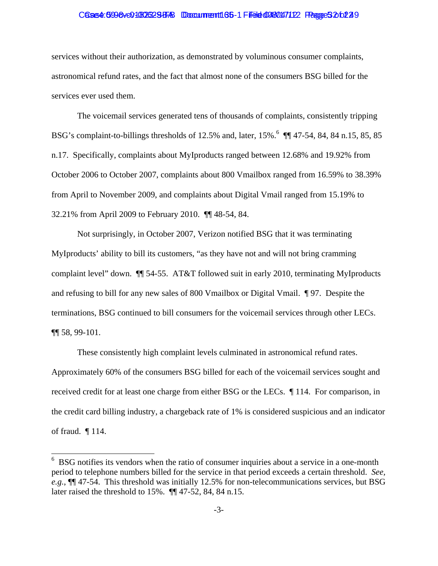#### Cases4: 6998ve01080625BBB Doccument186-1 Filedet 0980147122 Peage 52 of 229

services without their authorization, as demonstrated by voluminous consumer complaints, astronomical refund rates, and the fact that almost none of the consumers BSG billed for the services ever used them.

The voicemail services generated tens of thousands of complaints, consistently tripping BSG's complaint-to-billings thresholds of 12.5% and, later, 15%.<sup>6</sup> [[ 47-54, 84, 84 n.15, 85, 85 n.17. Specifically, complaints about MyIproducts ranged between 12.68% and 19.92% from October 2006 to October 2007, complaints about 800 Vmailbox ranged from 16.59% to 38.39% from April to November 2009, and complaints about Digital Vmail ranged from 15.19% to 32.21% from April 2009 to February 2010. ¶¶ 48-54, 84.

Not surprisingly, in October 2007, Verizon notified BSG that it was terminating MyIproducts' ability to bill its customers, "as they have not and will not bring cramming complaint level" down. ¶¶ 54-55. AT&T followed suit in early 2010, terminating MyIproducts and refusing to bill for any new sales of 800 Vmailbox or Digital Vmail. ¶ 97. Despite the terminations, BSG continued to bill consumers for the voicemail services through other LECs. ¶¶ 58, 99-101.

These consistently high complaint levels culminated in astronomical refund rates. Approximately 60% of the consumers BSG billed for each of the voicemail services sought and received credit for at least one charge from either BSG or the LECs. ¶ 114. For comparison, in the credit card billing industry, a chargeback rate of 1% is considered suspicious and an indicator of fraud. ¶ 114.

 $\overline{\phantom{a}}$ 

 $6$  BSG notifies its vendors when the ratio of consumer inquiries about a service in a one-month period to telephone numbers billed for the service in that period exceeds a certain threshold. *See, e.g.*, ¶¶ 47-54. This threshold was initially 12.5% for non-telecommunications services, but BSG later raised the threshold to 15%. ¶¶ 47-52, 84, 84 n.15.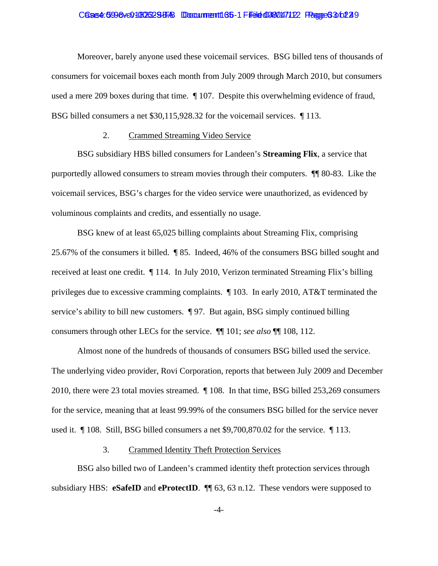#### Case4: 5998ve01806329EAB Doccument165-1 Filed 0980147122 Pagge6360229

Moreover, barely anyone used these voicemail services. BSG billed tens of thousands of consumers for voicemail boxes each month from July 2009 through March 2010, but consumers used a mere 209 boxes during that time. ¶ 107. Despite this overwhelming evidence of fraud, BSG billed consumers a net \$30,115,928.32 for the voicemail services. ¶ 113.

#### 2. Crammed Streaming Video Service

BSG subsidiary HBS billed consumers for Landeen's **Streaming Flix**, a service that purportedly allowed consumers to stream movies through their computers. ¶¶ 80-83. Like the voicemail services, BSG's charges for the video service were unauthorized, as evidenced by voluminous complaints and credits, and essentially no usage.

BSG knew of at least 65,025 billing complaints about Streaming Flix, comprising 25.67% of the consumers it billed. ¶ 85. Indeed, 46% of the consumers BSG billed sought and received at least one credit. ¶ 114. In July 2010, Verizon terminated Streaming Flix's billing privileges due to excessive cramming complaints. ¶ 103. In early 2010, AT&T terminated the service's ability to bill new customers. ¶ 97. But again, BSG simply continued billing consumers through other LECs for the service. ¶¶ 101; *see also* ¶¶ 108, 112.

Almost none of the hundreds of thousands of consumers BSG billed used the service. The underlying video provider, Rovi Corporation, reports that between July 2009 and December 2010, there were 23 total movies streamed. ¶ 108. In that time, BSG billed 253,269 consumers for the service, meaning that at least 99.99% of the consumers BSG billed for the service never used it. ¶ 108. Still, BSG billed consumers a net \$9,700,870.02 for the service. ¶ 113.

#### 3. Crammed Identity Theft Protection Services

BSG also billed two of Landeen's crammed identity theft protection services through subsidiary HBS: **eSafeID** and **eProtectID**. ¶¶ 63, 63 n.12. These vendors were supposed to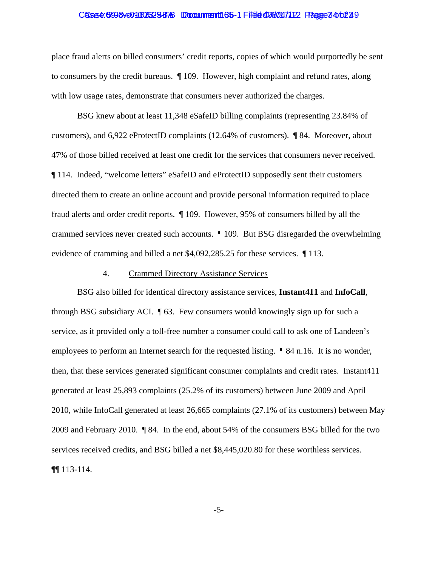#### Case4: 5998 ve01806329 BB Document 165-1 Filed 098047122 Page 74 to 229

place fraud alerts on billed consumers' credit reports, copies of which would purportedly be sent to consumers by the credit bureaus. ¶ 109. However, high complaint and refund rates, along with low usage rates, demonstrate that consumers never authorized the charges.

BSG knew about at least 11,348 eSafeID billing complaints (representing 23.84% of customers), and 6,922 eProtectID complaints (12.64% of customers). ¶ 84. Moreover, about 47% of those billed received at least one credit for the services that consumers never received. ¶ 114. Indeed, "welcome letters" eSafeID and eProtectID supposedly sent their customers directed them to create an online account and provide personal information required to place fraud alerts and order credit reports. ¶ 109. However, 95% of consumers billed by all the crammed services never created such accounts. ¶ 109. But BSG disregarded the overwhelming evidence of cramming and billed a net \$4,092,285.25 for these services. ¶ 113.

#### 4. Crammed Directory Assistance Services

BSG also billed for identical directory assistance services, **Instant411** and **InfoCall**, through BSG subsidiary ACI. ¶ 63. Few consumers would knowingly sign up for such a service, as it provided only a toll-free number a consumer could call to ask one of Landeen's employees to perform an Internet search for the requested listing. ¶ 84 n.16. It is no wonder, then, that these services generated significant consumer complaints and credit rates. Instant411 generated at least 25,893 complaints (25.2% of its customers) between June 2009 and April 2010, while InfoCall generated at least 26,665 complaints (27.1% of its customers) between May 2009 and February 2010. ¶ 84. In the end, about 54% of the consumers BSG billed for the two services received credits, and BSG billed a net \$8,445,020.80 for these worthless services. ¶¶ 113-114.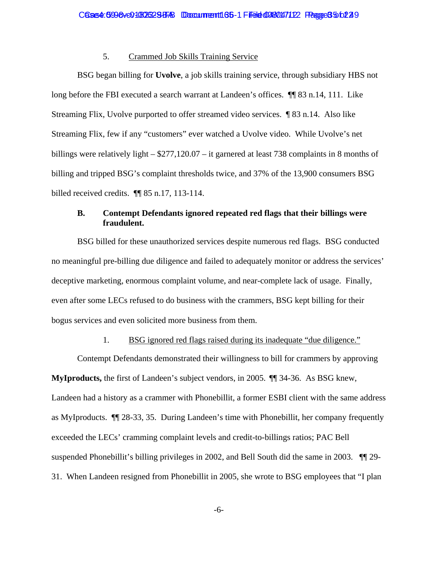#### 5. Crammed Job Skills Training Service

BSG began billing for **Uvolve**, a job skills training service, through subsidiary HBS not long before the FBI executed a search warrant at Landeen's offices. ¶¶ 83 n.14, 111. Like Streaming Flix, Uvolve purported to offer streamed video services. ¶ 83 n.14. Also like Streaming Flix, few if any "customers" ever watched a Uvolve video. While Uvolve's net billings were relatively light – \$277,120.07 – it garnered at least 738 complaints in 8 months of billing and tripped BSG's complaint thresholds twice, and 37% of the 13,900 consumers BSG billed received credits.  $\P$  85 n.17, 113-114.

#### **B. Contempt Defendants ignored repeated red flags that their billings were fraudulent.**

BSG billed for these unauthorized services despite numerous red flags. BSG conducted no meaningful pre-billing due diligence and failed to adequately monitor or address the services' deceptive marketing, enormous complaint volume, and near-complete lack of usage. Finally, even after some LECs refused to do business with the crammers, BSG kept billing for their bogus services and even solicited more business from them.

#### 1. BSG ignored red flags raised during its inadequate "due diligence."

Contempt Defendants demonstrated their willingness to bill for crammers by approving **MyIproducts,** the first of Landeen's subject vendors, in 2005. ¶¶ 34-36. As BSG knew, Landeen had a history as a crammer with Phonebillit, a former ESBI client with the same address as MyIproducts. ¶¶ 28-33, 35. During Landeen's time with Phonebillit, her company frequently exceeded the LECs' cramming complaint levels and credit-to-billings ratios; PAC Bell suspended Phonebillit's billing privileges in 2002, and Bell South did the same in 2003. ¶¶ 29- 31. When Landeen resigned from Phonebillit in 2005, she wrote to BSG employees that "I plan

-6-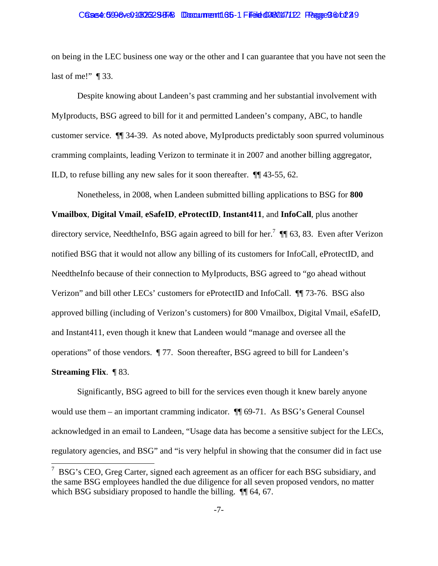#### Case4: 5998ve01806329EAB Doccument165-1 Filed 0980147122 Pagge9 66229

on being in the LEC business one way or the other and I can guarantee that you have not seen the last of me!"  $\P$ 33.

Despite knowing about Landeen's past cramming and her substantial involvement with MyIproducts, BSG agreed to bill for it and permitted Landeen's company, ABC, to handle customer service. ¶¶ 34-39. As noted above, MyIproducts predictably soon spurred voluminous cramming complaints, leading Verizon to terminate it in 2007 and another billing aggregator, ILD, to refuse billing any new sales for it soon thereafter. ¶¶ 43-55, 62.

 Nonetheless, in 2008, when Landeen submitted billing applications to BSG for **800 Vmailbox**, **Digital Vmail**, **eSafeID**, **eProtectID**, **Instant411**, and **InfoCall**, plus another directory service, NeedtheInfo, BSG again agreed to bill for her.<sup>7</sup>  $\P$  63, 83. Even after Verizon notified BSG that it would not allow any billing of its customers for InfoCall, eProtectID, and NeedtheInfo because of their connection to MyIproducts, BSG agreed to "go ahead without Verizon" and bill other LECs' customers for eProtectID and InfoCall. ¶¶ 73-76. BSG also approved billing (including of Verizon's customers) for 800 Vmailbox, Digital Vmail, eSafeID, and Instant411, even though it knew that Landeen would "manage and oversee all the operations" of those vendors. ¶ 77. Soon thereafter, BSG agreed to bill for Landeen's **Streaming Flix**. ¶ 83.

 Significantly, BSG agreed to bill for the services even though it knew barely anyone would use them – an important cramming indicator.  $\P$  69-71. As BSG's General Counsel acknowledged in an email to Landeen, "Usage data has become a sensitive subject for the LECs, regulatory agencies, and BSG" and "is very helpful in showing that the consumer did in fact use

<sup>&</sup>lt;sup>7</sup> BSG's CEO, Greg Carter, signed each agreement as an officer for each BSG subsidiary, and the same BSG employees handled the due diligence for all seven proposed vendors, no matter which BSG subsidiary proposed to handle the billing.  $\P$  64, 67.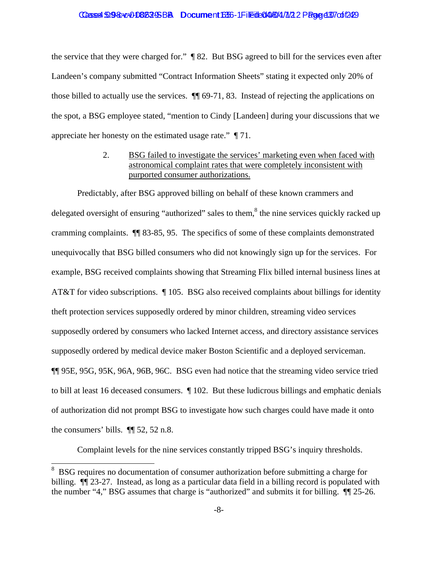#### Casse4:5098:ve008629SBB Document1355-1 Filedb0408/4/7/22 Page d37 of 1249

the service that they were charged for." ¶ 82. But BSG agreed to bill for the services even after Landeen's company submitted "Contract Information Sheets" stating it expected only 20% of those billed to actually use the services. ¶¶ 69-71, 83. Instead of rejecting the applications on the spot, a BSG employee stated, "mention to Cindy [Landeen] during your discussions that we appreciate her honesty on the estimated usage rate." ¶ 71.

### 2. BSG failed to investigate the services' marketing even when faced with astronomical complaint rates that were completely inconsistent with purported consumer authorizations.

Predictably, after BSG approved billing on behalf of these known crammers and delegated oversight of ensuring "authorized" sales to them,<sup>8</sup> the nine services quickly racked up cramming complaints. ¶¶ 83-85, 95. The specifics of some of these complaints demonstrated unequivocally that BSG billed consumers who did not knowingly sign up for the services. For example, BSG received complaints showing that Streaming Flix billed internal business lines at AT&T for video subscriptions. ¶ 105. BSG also received complaints about billings for identity theft protection services supposedly ordered by minor children, streaming video services supposedly ordered by consumers who lacked Internet access, and directory assistance services supposedly ordered by medical device maker Boston Scientific and a deployed serviceman. ¶¶ 95E, 95G, 95K, 96A, 96B, 96C. BSG even had notice that the streaming video service tried to bill at least 16 deceased consumers. ¶ 102. But these ludicrous billings and emphatic denials of authorization did not prompt BSG to investigate how such charges could have made it onto the consumers' bills. ¶¶ 52, 52 n.8.

Complaint levels for the nine services constantly tripped BSG's inquiry thresholds.

 $\overline{\phantom{a}}$ 

<sup>8</sup> BSG requires no documentation of consumer authorization before submitting a charge for billing. ¶¶ 23-27. Instead, as long as a particular data field in a billing record is populated with the number "4," BSG assumes that charge is "authorized" and submits it for billing. ¶¶ 25-26.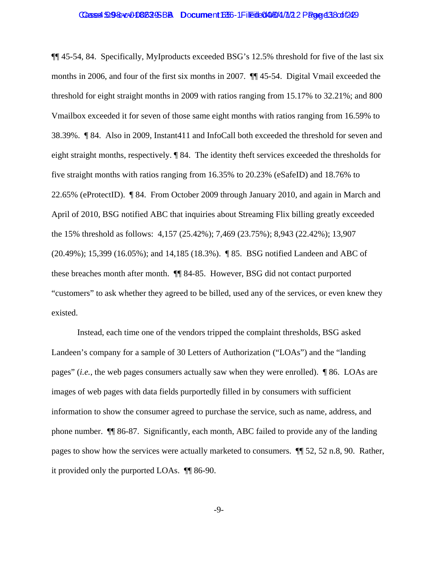#### Casse4:5098:ve00808295BB Document1635-1 Fileite0408/4/7/22 Page d 38 of 1249

¶¶ 45-54, 84. Specifically, MyIproducts exceeded BSG's 12.5% threshold for five of the last six months in 2006, and four of the first six months in 2007. ¶¶ 45-54. Digital Vmail exceeded the threshold for eight straight months in 2009 with ratios ranging from 15.17% to 32.21%; and 800 Vmailbox exceeded it for seven of those same eight months with ratios ranging from 16.59% to 38.39%. ¶ 84. Also in 2009, Instant411 and InfoCall both exceeded the threshold for seven and eight straight months, respectively. ¶ 84. The identity theft services exceeded the thresholds for five straight months with ratios ranging from 16.35% to 20.23% (eSafeID) and 18.76% to 22.65% (eProtectID). ¶ 84. From October 2009 through January 2010, and again in March and April of 2010, BSG notified ABC that inquiries about Streaming Flix billing greatly exceeded the 15% threshold as follows: 4,157 (25.42%); 7,469 (23.75%); 8,943 (22.42%); 13,907 (20.49%); 15,399 (16.05%); and 14,185 (18.3%). ¶ 85. BSG notified Landeen and ABC of these breaches month after month. ¶¶ 84-85. However, BSG did not contact purported "customers" to ask whether they agreed to be billed, used any of the services, or even knew they existed.

 Instead, each time one of the vendors tripped the complaint thresholds, BSG asked Landeen's company for a sample of 30 Letters of Authorization ("LOAs") and the "landing pages" (*i.e.*, the web pages consumers actually saw when they were enrolled). ¶ 86. LOAs are images of web pages with data fields purportedly filled in by consumers with sufficient information to show the consumer agreed to purchase the service, such as name, address, and phone number. ¶¶ 86-87. Significantly, each month, ABC failed to provide any of the landing pages to show how the services were actually marketed to consumers. ¶¶ 52, 52 n.8, 90. Rather, it provided only the purported LOAs. ¶¶ 86-90.

-9-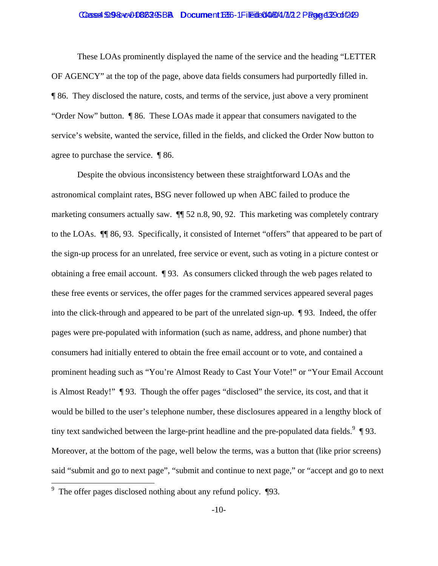#### Casse4:5098:c00086295BB Document1635-1 Filedb0408/4/7/22 Page d2900f249

 These LOAs prominently displayed the name of the service and the heading "LETTER OF AGENCY" at the top of the page, above data fields consumers had purportedly filled in. ¶ 86. They disclosed the nature, costs, and terms of the service, just above a very prominent "Order Now" button. ¶ 86. These LOAs made it appear that consumers navigated to the service's website, wanted the service, filled in the fields, and clicked the Order Now button to agree to purchase the service. ¶ 86.

Despite the obvious inconsistency between these straightforward LOAs and the astronomical complaint rates, BSG never followed up when ABC failed to produce the marketing consumers actually saw. ¶¶ 52 n.8, 90, 92. This marketing was completely contrary to the LOAs. ¶¶ 86, 93. Specifically, it consisted of Internet "offers" that appeared to be part of the sign-up process for an unrelated, free service or event, such as voting in a picture contest or obtaining a free email account. ¶ 93. As consumers clicked through the web pages related to these free events or services, the offer pages for the crammed services appeared several pages into the click-through and appeared to be part of the unrelated sign-up. ¶ 93. Indeed, the offer pages were pre-populated with information (such as name, address, and phone number) that consumers had initially entered to obtain the free email account or to vote, and contained a prominent heading such as "You're Almost Ready to Cast Your Vote!" or "Your Email Account is Almost Ready!" ¶ 93. Though the offer pages "disclosed" the service, its cost, and that it would be billed to the user's telephone number, these disclosures appeared in a lengthy block of tiny text sandwiched between the large-print headline and the pre-populated data fields.  $9 \text{ } \text{\textdegree{y}}$  93. Moreover, at the bottom of the page, well below the terms, was a button that (like prior screens) said "submit and go to next page", "submit and continue to next page," or "accept and go to next

<sup>&</sup>lt;sup>9</sup> The offer pages disclosed nothing about any refund policy. ¶93.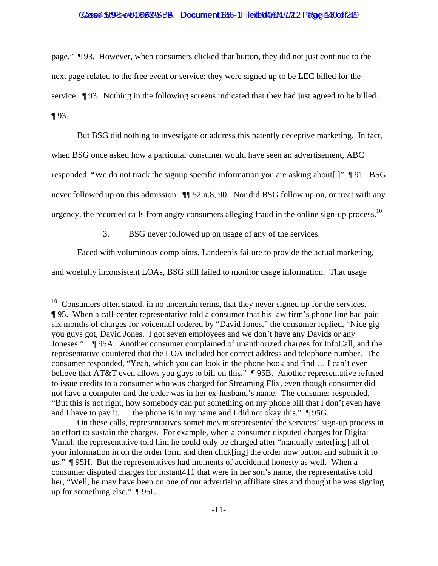#### Casse4:509-8040-080529-SBBA Document16356-1 Filedde049/8/4/7/22 Page d400 of 1249

page." ¶ 93. However, when consumers clicked that button, they did not just continue to the next page related to the free event or service; they were signed up to be LEC billed for the service. ¶ 93. Nothing in the following screens indicated that they had just agreed to be billed.  $\P$ 93.

But BSG did nothing to investigate or address this patently deceptive marketing. In fact, when BSG once asked how a particular consumer would have seen an advertisement, ABC responded, "We do not track the signup specific information you are asking about[.]" ¶ 91. BSG never followed up on this admission.  $\P$  52 n.8, 90. Nor did BSG follow up on, or treat with any urgency, the recorded calls from angry consumers alleging fraud in the online sign-up process.<sup>10</sup>

#### 3. BSG never followed up on usage of any of the services.

Faced with voluminous complaints, Landeen's failure to provide the actual marketing,

and woefully inconsistent LOAs, BSG still failed to monitor usage information. That usage

 $\overline{\phantom{a}}$ 

 $10$  Consumers often stated, in no uncertain terms, that they never signed up for the services. ¶ 95. When a call-center representative told a consumer that his law firm's phone line had paid six months of charges for voicemail ordered by "David Jones," the consumer replied, "Nice gig you guys got, David Jones. I got seven employees and we don't have any Davids or any Joneses." ¶ 95A. Another consumer complained of unauthorized charges for InfoCall, and the representative countered that the LOA included her correct address and telephone number. The consumer responded, "Yeah, which you can look in the phone book and find … I can't even believe that AT&T even allows you guys to bill on this." ¶ 95B. Another representative refused to issue credits to a consumer who was charged for Streaming Flix, even though consumer did not have a computer and the order was in her ex-husband's name. The consumer responded, "But this is not right, how somebody can put something on my phone bill that I don't even have and I have to pay it. … the phone is in my name and I did not okay this." ¶ 95G.

On these calls, representatives sometimes misrepresented the services' sign-up process in an effort to sustain the charges. For example, when a consumer disputed charges for Digital Vmail, the representative told him he could only be charged after "manually enter[ing] all of your information in on the order form and then click[ing] the order now button and submit it to us." ¶ 95H. But the representatives had moments of accidental honesty as well. When a consumer disputed charges for Instant411 that were in her son's name, the representative told her, "Well, he may have been on one of our advertising affiliate sites and thought he was signing up for something else." ¶ 95L.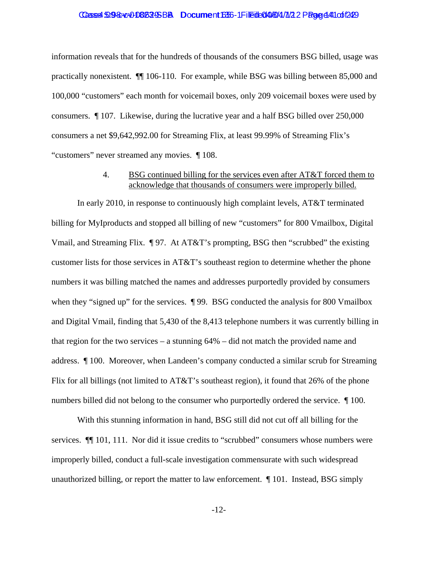#### Casse4:5098:cx0086295BB Document1635-1 Filedb0408/4/7/22 Page 441 of 1249

information reveals that for the hundreds of thousands of the consumers BSG billed, usage was practically nonexistent. ¶¶ 106-110. For example, while BSG was billing between 85,000 and 100,000 "customers" each month for voicemail boxes, only 209 voicemail boxes were used by consumers. ¶ 107. Likewise, during the lucrative year and a half BSG billed over 250,000 consumers a net \$9,642,992.00 for Streaming Flix, at least 99.99% of Streaming Flix's "customers" never streamed any movies. ¶ 108.

#### 4. BSG continued billing for the services even after AT&T forced them to acknowledge that thousands of consumers were improperly billed.

In early 2010, in response to continuously high complaint levels, AT&T terminated billing for MyIproducts and stopped all billing of new "customers" for 800 Vmailbox, Digital Vmail, and Streaming Flix. ¶ 97. At AT&T's prompting, BSG then "scrubbed" the existing customer lists for those services in AT&T's southeast region to determine whether the phone numbers it was billing matched the names and addresses purportedly provided by consumers when they "signed up" for the services.  $\parallel$  99. BSG conducted the analysis for 800 Vmailbox and Digital Vmail, finding that 5,430 of the 8,413 telephone numbers it was currently billing in that region for the two services – a stunning 64% – did not match the provided name and address. ¶ 100. Moreover, when Landeen's company conducted a similar scrub for Streaming Flix for all billings (not limited to AT&T's southeast region), it found that 26% of the phone numbers billed did not belong to the consumer who purportedly ordered the service. ¶ 100.

With this stunning information in hand, BSG still did not cut off all billing for the services.  $\P$ [101, 111. Nor did it issue credits to "scrubbed" consumers whose numbers were improperly billed, conduct a full-scale investigation commensurate with such widespread unauthorized billing, or report the matter to law enforcement. ¶ 101. Instead, BSG simply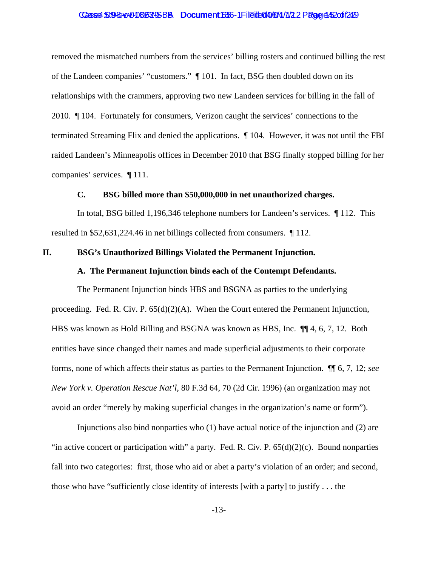#### Casse4:5098:ve00808295BB Document1635-1 Fileite0408/4/7/22 Page 452cof249

removed the mismatched numbers from the services' billing rosters and continued billing the rest of the Landeen companies' "customers." ¶ 101. In fact, BSG then doubled down on its relationships with the crammers, approving two new Landeen services for billing in the fall of 2010. ¶ 104. Fortunately for consumers, Verizon caught the services' connections to the terminated Streaming Flix and denied the applications. ¶ 104. However, it was not until the FBI raided Landeen's Minneapolis offices in December 2010 that BSG finally stopped billing for her companies' services. ¶ 111.

#### **C. BSG billed more than \$50,000,000 in net unauthorized charges.**

In total, BSG billed 1,196,346 telephone numbers for Landeen's services. ¶ 112. This resulted in \$52,631,224.46 in net billings collected from consumers. ¶ 112.

#### **II. BSG's Unauthorized Billings Violated the Permanent Injunction.**

#### **A. The Permanent Injunction binds each of the Contempt Defendants.**

The Permanent Injunction binds HBS and BSGNA as parties to the underlying proceeding. Fed. R. Civ. P. 65(d)(2)(A). When the Court entered the Permanent Injunction, HBS was known as Hold Billing and BSGNA was known as HBS, Inc. ¶¶ 4, 6, 7, 12. Both entities have since changed their names and made superficial adjustments to their corporate forms, none of which affects their status as parties to the Permanent Injunction. ¶¶ 6, 7, 12; *see New York v. Operation Rescue Nat'l*, 80 F.3d 64, 70 (2d Cir. 1996) (an organization may not avoid an order "merely by making superficial changes in the organization's name or form").

Injunctions also bind nonparties who (1) have actual notice of the injunction and (2) are "in active concert or participation with" a party. Fed. R. Civ. P.  $65(d)(2)(c)$ . Bound nonparties fall into two categories: first, those who aid or abet a party's violation of an order; and second, those who have "sufficiently close identity of interests [with a party] to justify  $\dots$  the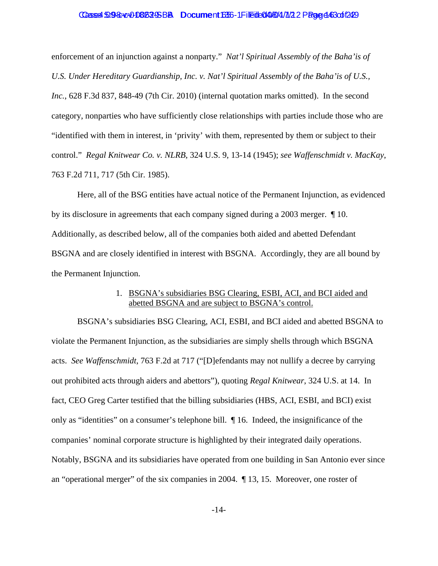#### Casse4:5098:ve0086295BB Document1635-1 Fileite0408/4/7/22 Page 443 cof249

enforcement of an injunction against a nonparty." *Nat'l Spiritual Assembly of the Baha'is of U.S. Under Hereditary Guardianship, Inc. v. Nat'l Spiritual Assembly of the Baha'is of U.S., Inc.*, 628 F.3d 837, 848-49 (7th Cir. 2010) (internal quotation marks omitted). In the second category, nonparties who have sufficiently close relationships with parties include those who are "identified with them in interest, in 'privity' with them, represented by them or subject to their control." *Regal Knitwear Co. v. NLRB*, 324 U.S. 9, 13-14 (1945); *see Waffenschmidt v. MacKay*, 763 F.2d 711, 717 (5th Cir. 1985).

Here, all of the BSG entities have actual notice of the Permanent Injunction, as evidenced by its disclosure in agreements that each company signed during a 2003 merger. ¶ 10. Additionally, as described below, all of the companies both aided and abetted Defendant BSGNA and are closely identified in interest with BSGNA. Accordingly, they are all bound by the Permanent Injunction.

#### 1. BSGNA's subsidiaries BSG Clearing, ESBI, ACI, and BCI aided and abetted BSGNA and are subject to BSGNA's control.

BSGNA's subsidiaries BSG Clearing, ACI, ESBI, and BCI aided and abetted BSGNA to violate the Permanent Injunction, as the subsidiaries are simply shells through which BSGNA acts. *See Waffenschmidt*, 763 F.2d at 717 ("[D]efendants may not nullify a decree by carrying out prohibited acts through aiders and abettors"), quoting *Regal Knitwear*, 324 U.S. at 14. In fact, CEO Greg Carter testified that the billing subsidiaries (HBS, ACI, ESBI, and BCI) exist only as "identities" on a consumer's telephone bill. ¶ 16. Indeed, the insignificance of the companies' nominal corporate structure is highlighted by their integrated daily operations. Notably, BSGNA and its subsidiaries have operated from one building in San Antonio ever since an "operational merger" of the six companies in 2004. ¶ 13, 15. Moreover, one roster of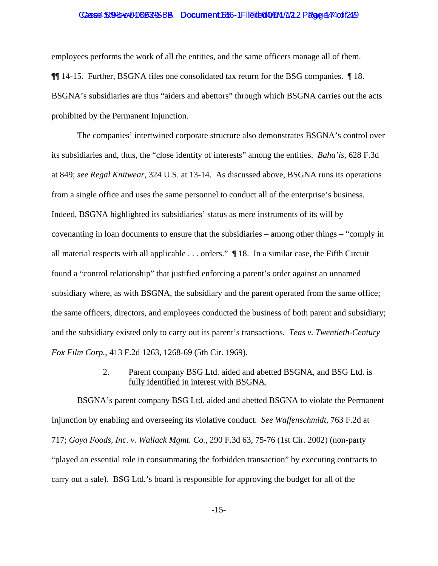#### Casse4:509-8040-01806295-BBA Document16356-1 Filedde049/64/11/2 2 Page d 474 cot f 2429

employees performs the work of all the entities, and the same officers manage all of them. ¶¶ 14-15. Further, BSGNA files one consolidated tax return for the BSG companies. ¶ 18. BSGNA's subsidiaries are thus "aiders and abettors" through which BSGNA carries out the acts prohibited by the Permanent Injunction.

The companies' intertwined corporate structure also demonstrates BSGNA's control over its subsidiaries and, thus, the "close identity of interests" among the entities. *Baha'is*, 628 F.3d at 849; *see Regal Knitwear*, 324 U.S. at 13-14. As discussed above, BSGNA runs its operations from a single office and uses the same personnel to conduct all of the enterprise's business. Indeed, BSGNA highlighted its subsidiaries' status as mere instruments of its will by covenanting in loan documents to ensure that the subsidiaries – among other things – "comply in all material respects with all applicable . . . orders." ¶ 18. In a similar case, the Fifth Circuit found a "control relationship" that justified enforcing a parent's order against an unnamed subsidiary where, as with BSGNA, the subsidiary and the parent operated from the same office; the same officers, directors, and employees conducted the business of both parent and subsidiary; and the subsidiary existed only to carry out its parent's transactions. *Teas v. Twentieth-Century Fox Film Corp.*, 413 F.2d 1263, 1268-69 (5th Cir. 1969)*.*

#### 2. Parent company BSG Ltd. aided and abetted BSGNA, and BSG Ltd. is fully identified in interest with BSGNA.

BSGNA's parent company BSG Ltd. aided and abetted BSGNA to violate the Permanent Injunction by enabling and overseeing its violative conduct. *See Waffenschmidt*, 763 F.2d at 717; *Goya Foods, Inc. v. Wallack Mgmt. Co.*, 290 F.3d 63, 75-76 (1st Cir. 2002) (non-party "played an essential role in consummating the forbidden transaction" by executing contracts to carry out a sale). BSG Ltd.'s board is responsible for approving the budget for all of the

-15-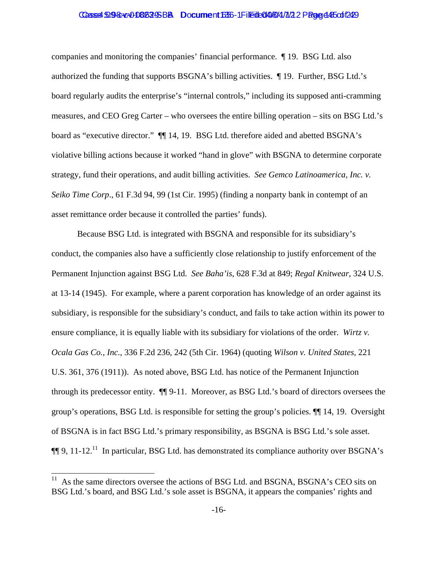#### Casse4:5098:ve00808295BB Document1635-1 Fileite0408/4/7/22 Page 445 of 1249

companies and monitoring the companies' financial performance. ¶ 19. BSG Ltd. also authorized the funding that supports BSGNA's billing activities. ¶ 19. Further, BSG Ltd.'s board regularly audits the enterprise's "internal controls," including its supposed anti-cramming measures, and CEO Greg Carter – who oversees the entire billing operation – sits on BSG Ltd.'s board as "executive director."  $\P$  14, 19. BSG Ltd. therefore aided and abetted BSGNA's violative billing actions because it worked "hand in glove" with BSGNA to determine corporate strategy, fund their operations, and audit billing activities. *See Gemco Latinoamerica, Inc. v. Seiko Time Corp*., 61 F.3d 94, 99 (1st Cir. 1995) (finding a nonparty bank in contempt of an asset remittance order because it controlled the parties' funds).

Because BSG Ltd. is integrated with BSGNA and responsible for its subsidiary's conduct, the companies also have a sufficiently close relationship to justify enforcement of the Permanent Injunction against BSG Ltd. *See Baha'is*, 628 F.3d at 849; *Regal Knitwear*, 324 U.S. at 13-14 (1945). For example, where a parent corporation has knowledge of an order against its subsidiary, is responsible for the subsidiary's conduct, and fails to take action within its power to ensure compliance, it is equally liable with its subsidiary for violations of the order. *Wirtz v. Ocala Gas Co., Inc.*, 336 F.2d 236, 242 (5th Cir. 1964) (quoting *Wilson v. United States*, 221 U.S. 361, 376 (1911)). As noted above, BSG Ltd. has notice of the Permanent Injunction through its predecessor entity. ¶¶ 9-11. Moreover, as BSG Ltd.'s board of directors oversees the group's operations, BSG Ltd. is responsible for setting the group's policies. ¶¶ 14, 19. Oversight of BSGNA is in fact BSG Ltd.'s primary responsibility, as BSGNA is BSG Ltd.'s sole asset.  $\P\P$  9, 11-12.<sup>11</sup> In particular, BSG Ltd. has demonstrated its compliance authority over BSGNA's

 $\overline{\phantom{a}}$ 

 $11$  As the same directors oversee the actions of BSG Ltd. and BSGNA, BSGNA's CEO sits on BSG Ltd.'s board, and BSG Ltd.'s sole asset is BSGNA, it appears the companies' rights and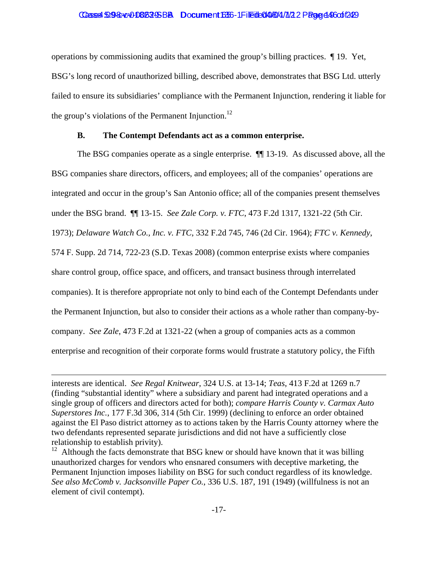#### Casse4:509-8040-080529-SBBA Document16356-1 File tte 0140461/4/17 2 Page 14-05 of 1249

operations by commissioning audits that examined the group's billing practices. ¶ 19. Yet, BSG's long record of unauthorized billing, described above, demonstrates that BSG Ltd. utterly failed to ensure its subsidiaries' compliance with the Permanent Injunction, rendering it liable for the group's violations of the Permanent Injunction.<sup>12</sup>

#### **B. The Contempt Defendants act as a common enterprise.**

The BSG companies operate as a single enterprise. ¶¶ 13-19. As discussed above, all the BSG companies share directors, officers, and employees; all of the companies' operations are integrated and occur in the group's San Antonio office; all of the companies present themselves under the BSG brand. ¶¶ 13-15. *See Zale Corp. v. FTC*, 473 F.2d 1317, 1321-22 (5th Cir. 1973); *Delaware Watch Co., Inc. v. FTC*, 332 F.2d 745, 746 (2d Cir. 1964); *FTC v. Kennedy*, 574 F. Supp. 2d 714, 722-23 (S.D. Texas 2008) (common enterprise exists where companies share control group, office space, and officers, and transact business through interrelated companies). It is therefore appropriate not only to bind each of the Contempt Defendants under the Permanent Injunction, but also to consider their actions as a whole rather than company-bycompany. *See Zale*, 473 F.2d at 1321-22 (when a group of companies acts as a common enterprise and recognition of their corporate forms would frustrate a statutory policy, the Fifth

 $\overline{\phantom{a}}$ 

interests are identical. *See Regal Knitwear*, 324 U.S. at 13-14; *Teas*, 413 F.2d at 1269 n.7 (finding "substantial identity" where a subsidiary and parent had integrated operations and a single group of officers and directors acted for both); *compare Harris County v. Carmax Auto Superstores Inc.*, 177 F.3d 306, 314 (5th Cir. 1999) (declining to enforce an order obtained against the El Paso district attorney as to actions taken by the Harris County attorney where the two defendants represented separate jurisdictions and did not have a sufficiently close relationship to establish privity).

<sup>&</sup>lt;sup>12</sup> Although the facts demonstrate that BSG knew or should have known that it was billing unauthorized charges for vendors who ensnared consumers with deceptive marketing, the Permanent Injunction imposes liability on BSG for such conduct regardless of its knowledge. *See also McComb v. Jacksonville Paper Co.*, 336 U.S. 187, 191 (1949) (willfulness is not an element of civil contempt).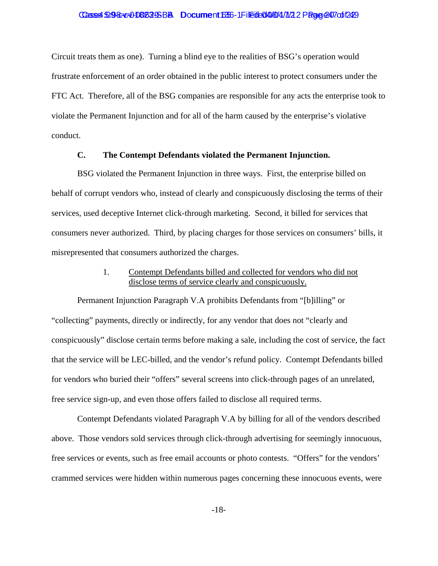#### Casse4:5098:cx0086295BB Document1635-1 Filedb0408/4/7/22 Page 247 of 1249

Circuit treats them as one). Turning a blind eye to the realities of BSG's operation would frustrate enforcement of an order obtained in the public interest to protect consumers under the FTC Act. Therefore, all of the BSG companies are responsible for any acts the enterprise took to violate the Permanent Injunction and for all of the harm caused by the enterprise's violative conduct.

#### **C. The Contempt Defendants violated the Permanent Injunction.**

BSG violated the Permanent Injunction in three ways. First, the enterprise billed on behalf of corrupt vendors who, instead of clearly and conspicuously disclosing the terms of their services, used deceptive Internet click-through marketing. Second, it billed for services that consumers never authorized. Third, by placing charges for those services on consumers' bills, it misrepresented that consumers authorized the charges.

### 1. Contempt Defendants billed and collected for vendors who did not disclose terms of service clearly and conspicuously.

Permanent Injunction Paragraph V.A prohibits Defendants from "[b]illing" or "collecting" payments, directly or indirectly, for any vendor that does not "clearly and conspicuously" disclose certain terms before making a sale, including the cost of service, the fact that the service will be LEC-billed, and the vendor's refund policy. Contempt Defendants billed for vendors who buried their "offers" several screens into click-through pages of an unrelated, free service sign-up, and even those offers failed to disclose all required terms.

Contempt Defendants violated Paragraph V.A by billing for all of the vendors described above. Those vendors sold services through click-through advertising for seemingly innocuous, free services or events, such as free email accounts or photo contests. "Offers" for the vendors' crammed services were hidden within numerous pages concerning these innocuous events, were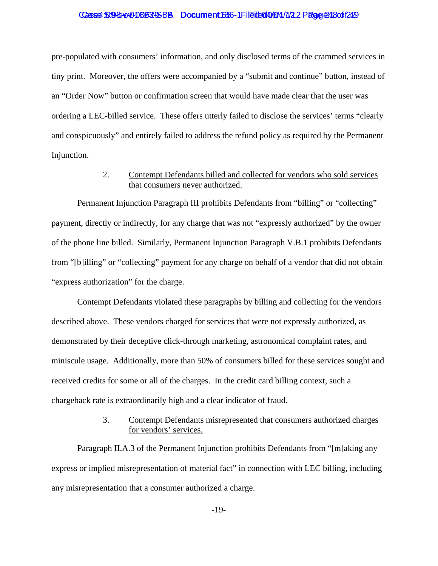#### Casse4:5098:ve00808295BB Document1635-1 Fileite0408/4/7/22 Page 24 8 of 1249

pre-populated with consumers' information, and only disclosed terms of the crammed services in tiny print. Moreover, the offers were accompanied by a "submit and continue" button, instead of an "Order Now" button or confirmation screen that would have made clear that the user was ordering a LEC-billed service. These offers utterly failed to disclose the services' terms "clearly and conspicuously" and entirely failed to address the refund policy as required by the Permanent Injunction.

#### 2. Contempt Defendants billed and collected for vendors who sold services that consumers never authorized.

Permanent Injunction Paragraph III prohibits Defendants from "billing" or "collecting" payment, directly or indirectly, for any charge that was not "expressly authorized" by the owner of the phone line billed. Similarly, Permanent Injunction Paragraph V.B.1 prohibits Defendants from "[b]illing" or "collecting" payment for any charge on behalf of a vendor that did not obtain "express authorization" for the charge.

Contempt Defendants violated these paragraphs by billing and collecting for the vendors described above. These vendors charged for services that were not expressly authorized, as demonstrated by their deceptive click-through marketing, astronomical complaint rates, and miniscule usage. Additionally, more than 50% of consumers billed for these services sought and received credits for some or all of the charges. In the credit card billing context, such a chargeback rate is extraordinarily high and a clear indicator of fraud.

#### 3. Contempt Defendants misrepresented that consumers authorized charges for vendors' services.

Paragraph II.A.3 of the Permanent Injunction prohibits Defendants from "[m]aking any express or implied misrepresentation of material fact" in connection with LEC billing, including any misrepresentation that a consumer authorized a charge.